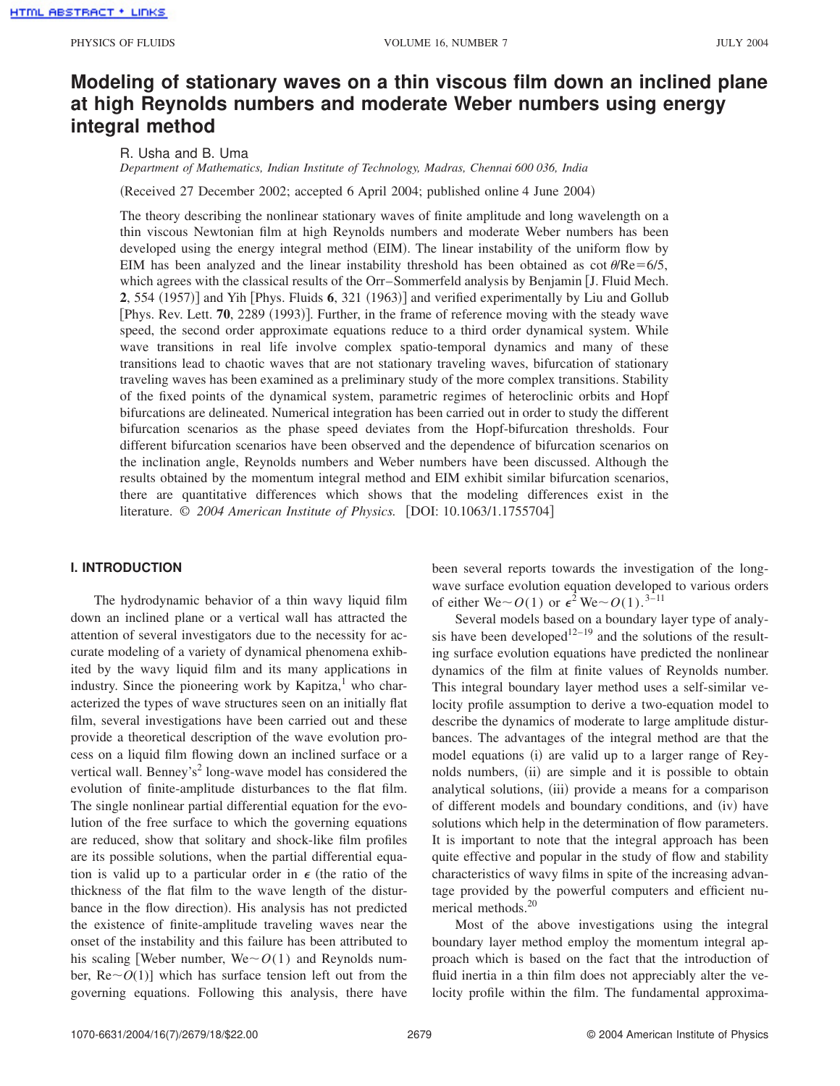# **Modeling of stationary waves on a thin viscous film down an inclined plane at high Reynolds numbers and moderate Weber numbers using energy integral method**

# R. Usha and B. Uma

*Department of Mathematics, Indian Institute of Technology, Madras, Chennai 600 036, India*

 $(Received 27 December 2002; accepted 6 April 2004; published online 4 June 2004)$ 

The theory describing the nonlinear stationary waves of finite amplitude and long wavelength on a thin viscous Newtonian film at high Reynolds numbers and moderate Weber numbers has been developed using the energy integral method (EIM). The linear instability of the uniform flow by EIM has been analyzed and the linear instability threshold has been obtained as  $\cot \theta$ /Re=6/5, which agrees with the classical results of the Orr–Sommerfeld analysis by Benjamin  $\overline{J}$ . Fluid Mech. **2**, 554 (1957)] and Yih [Phys. Fluids **6**, 321 (1963)] and verified experimentally by Liu and Gollub [Phys. Rev. Lett. **70**, 2289 (1993)]. Further, in the frame of reference moving with the steady wave speed, the second order approximate equations reduce to a third order dynamical system. While wave transitions in real life involve complex spatio-temporal dynamics and many of these transitions lead to chaotic waves that are not stationary traveling waves, bifurcation of stationary traveling waves has been examined as a preliminary study of the more complex transitions. Stability of the fixed points of the dynamical system, parametric regimes of heteroclinic orbits and Hopf bifurcations are delineated. Numerical integration has been carried out in order to study the different bifurcation scenarios as the phase speed deviates from the Hopf-bifurcation thresholds. Four different bifurcation scenarios have been observed and the dependence of bifurcation scenarios on the inclination angle, Reynolds numbers and Weber numbers have been discussed. Although the results obtained by the momentum integral method and EIM exhibit similar bifurcation scenarios, there are quantitative differences which shows that the modeling differences exist in the literature. © 2004 American Institute of Physics. [DOI: 10.1063/1.1755704]

### **I. INTRODUCTION**

The hydrodynamic behavior of a thin wavy liquid film down an inclined plane or a vertical wall has attracted the attention of several investigators due to the necessity for accurate modeling of a variety of dynamical phenomena exhibited by the wavy liquid film and its many applications in industry. Since the pioneering work by Kapitza, $<sup>1</sup>$  who char-</sup> acterized the types of wave structures seen on an initially flat film, several investigations have been carried out and these provide a theoretical description of the wave evolution process on a liquid film flowing down an inclined surface or a vertical wall. Benney's<sup>2</sup> long-wave model has considered the evolution of finite-amplitude disturbances to the flat film. The single nonlinear partial differential equation for the evolution of the free surface to which the governing equations are reduced, show that solitary and shock-like film profiles are its possible solutions, when the partial differential equation is valid up to a particular order in  $\epsilon$  (the ratio of the thickness of the flat film to the wave length of the disturbance in the flow direction). His analysis has not predicted the existence of finite-amplitude traveling waves near the onset of the instability and this failure has been attributed to his scaling Weber number, We $\sim$ *O*(1) and Reynolds number,  $\text{Re} \sim O(1)$ ] which has surface tension left out from the governing equations. Following this analysis, there have

been several reports towards the investigation of the longwave surface evolution equation developed to various orders of either  $\text{We} \sim O(1)$  or  $\epsilon^2 \text{We} \sim O(1).$ <sup>3–11</sup>

Several models based on a boundary layer type of analysis have been developed<sup>12–19</sup> and the solutions of the resulting surface evolution equations have predicted the nonlinear dynamics of the film at finite values of Reynolds number. This integral boundary layer method uses a self-similar velocity profile assumption to derive a two-equation model to describe the dynamics of moderate to large amplitude disturbances. The advantages of the integral method are that the model equations (i) are valid up to a larger range of Reynolds numbers, (ii) are simple and it is possible to obtain analytical solutions, (iii) provide a means for a comparison of different models and boundary conditions, and (iv) have solutions which help in the determination of flow parameters. It is important to note that the integral approach has been quite effective and popular in the study of flow and stability characteristics of wavy films in spite of the increasing advantage provided by the powerful computers and efficient numerical methods.<sup>20</sup>

Most of the above investigations using the integral boundary layer method employ the momentum integral approach which is based on the fact that the introduction of fluid inertia in a thin film does not appreciably alter the velocity profile within the film. The fundamental approxima-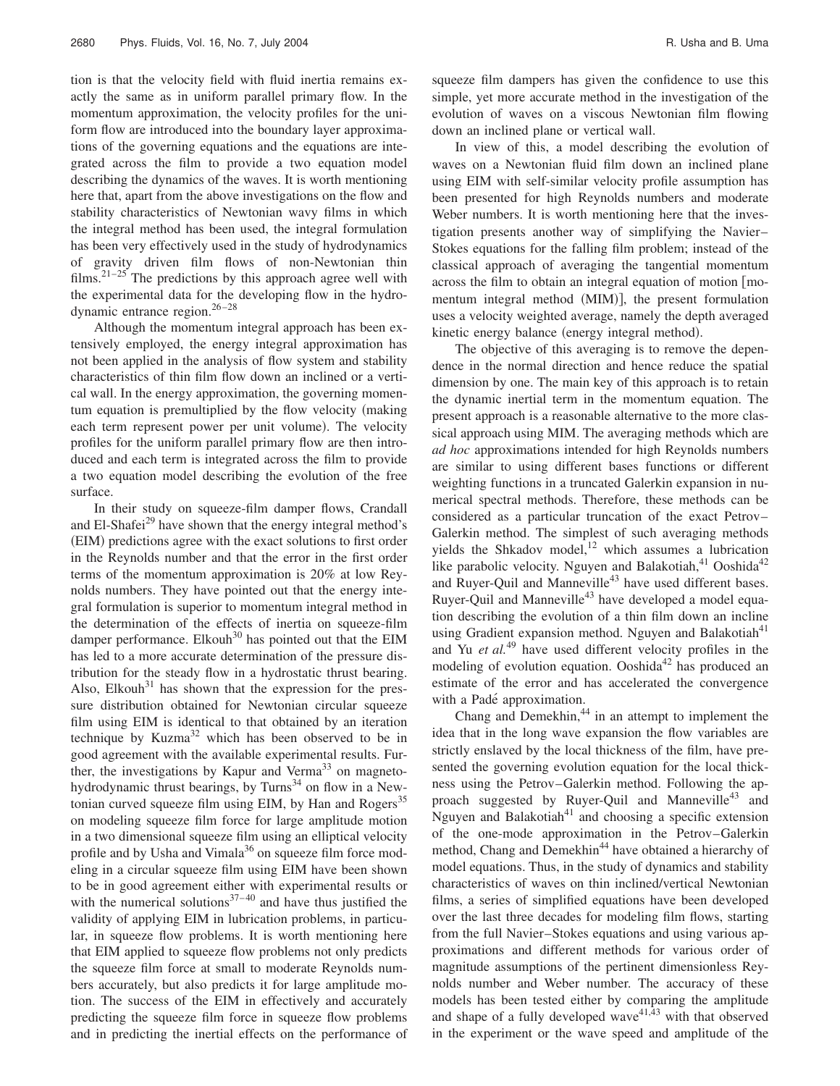tion is that the velocity field with fluid inertia remains exactly the same as in uniform parallel primary flow. In the momentum approximation, the velocity profiles for the uniform flow are introduced into the boundary layer approximations of the governing equations and the equations are integrated across the film to provide a two equation model describing the dynamics of the waves. It is worth mentioning here that, apart from the above investigations on the flow and stability characteristics of Newtonian wavy films in which the integral method has been used, the integral formulation has been very effectively used in the study of hydrodynamics of gravity driven film flows of non-Newtonian thin films. $2^{1-25}$  The predictions by this approach agree well with the experimental data for the developing flow in the hydrodynamic entrance region.26–28

Although the momentum integral approach has been extensively employed, the energy integral approximation has not been applied in the analysis of flow system and stability characteristics of thin film flow down an inclined or a vertical wall. In the energy approximation, the governing momentum equation is premultiplied by the flow velocity (making each term represent power per unit volume). The velocity profiles for the uniform parallel primary flow are then introduced and each term is integrated across the film to provide a two equation model describing the evolution of the free surface.

In their study on squeeze-film damper flows, Crandall and El-Shafei<sup>29</sup> have shown that the energy integral method's (EIM) predictions agree with the exact solutions to first order in the Reynolds number and that the error in the first order terms of the momentum approximation is 20% at low Reynolds numbers. They have pointed out that the energy integral formulation is superior to momentum integral method in the determination of the effects of inertia on squeeze-film damper performance. Elkouh<sup>30</sup> has pointed out that the EIM has led to a more accurate determination of the pressure distribution for the steady flow in a hydrostatic thrust bearing. Also, Elkouh<sup>31</sup> has shown that the expression for the pressure distribution obtained for Newtonian circular squeeze film using EIM is identical to that obtained by an iteration technique by Kuzma $32$  which has been observed to be in good agreement with the available experimental results. Further, the investigations by Kapur and Verma<sup>33</sup> on magnetohydrodynamic thrust bearings, by Turns<sup>34</sup> on flow in a Newtonian curved squeeze film using EIM, by Han and Rogers $35$ on modeling squeeze film force for large amplitude motion in a two dimensional squeeze film using an elliptical velocity profile and by Usha and Vimala<sup>36</sup> on squeeze film force modeling in a circular squeeze film using EIM have been shown to be in good agreement either with experimental results or with the numerical solutions<sup>37–40</sup> and have thus justified the validity of applying EIM in lubrication problems, in particular, in squeeze flow problems. It is worth mentioning here that EIM applied to squeeze flow problems not only predicts the squeeze film force at small to moderate Reynolds numbers accurately, but also predicts it for large amplitude motion. The success of the EIM in effectively and accurately predicting the squeeze film force in squeeze flow problems and in predicting the inertial effects on the performance of squeeze film dampers has given the confidence to use this simple, yet more accurate method in the investigation of the evolution of waves on a viscous Newtonian film flowing down an inclined plane or vertical wall.

In view of this, a model describing the evolution of waves on a Newtonian fluid film down an inclined plane using EIM with self-similar velocity profile assumption has been presented for high Reynolds numbers and moderate Weber numbers. It is worth mentioning here that the investigation presents another way of simplifying the Navier– Stokes equations for the falling film problem; instead of the classical approach of averaging the tangential momentum across the film to obtain an integral equation of motion  $\lceil$  momentum integral method  $(MIM)$ , the present formulation uses a velocity weighted average, namely the depth averaged kinetic energy balance (energy integral method).

The objective of this averaging is to remove the dependence in the normal direction and hence reduce the spatial dimension by one. The main key of this approach is to retain the dynamic inertial term in the momentum equation. The present approach is a reasonable alternative to the more classical approach using MIM. The averaging methods which are *ad hoc* approximations intended for high Reynolds numbers are similar to using different bases functions or different weighting functions in a truncated Galerkin expansion in numerical spectral methods. Therefore, these methods can be considered as a particular truncation of the exact Petrov– Galerkin method. The simplest of such averaging methods yields the Shkadov model, $12$  which assumes a lubrication like parabolic velocity. Nguyen and Balakotiah, $41$  Ooshida $42$ and Ruyer-Quil and Manneville<sup>43</sup> have used different bases. Ruyer-Quil and Manneville<sup>43</sup> have developed a model equation describing the evolution of a thin film down an incline using Gradient expansion method. Nguyen and Balakotiah<sup>41</sup> and Yu *et al.*<sup>49</sup> have used different velocity profiles in the modeling of evolution equation. Ooshida<sup>42</sup> has produced an estimate of the error and has accelerated the convergence with a Padé approximation.

Chang and Demekhin,<sup>44</sup> in an attempt to implement the idea that in the long wave expansion the flow variables are strictly enslaved by the local thickness of the film, have presented the governing evolution equation for the local thickness using the Petrov–Galerkin method. Following the approach suggested by Ruyer-Quil and Manneville<sup>43</sup> and Nguyen and Balakotiah<sup>41</sup> and choosing a specific extension of the one-mode approximation in the Petrov–Galerkin method, Chang and Demekhin<sup>44</sup> have obtained a hierarchy of model equations. Thus, in the study of dynamics and stability characteristics of waves on thin inclined/vertical Newtonian films, a series of simplified equations have been developed over the last three decades for modeling film flows, starting from the full Navier–Stokes equations and using various approximations and different methods for various order of magnitude assumptions of the pertinent dimensionless Reynolds number and Weber number. The accuracy of these models has been tested either by comparing the amplitude and shape of a fully developed wave<sup> $41,43$ </sup> with that observed in the experiment or the wave speed and amplitude of the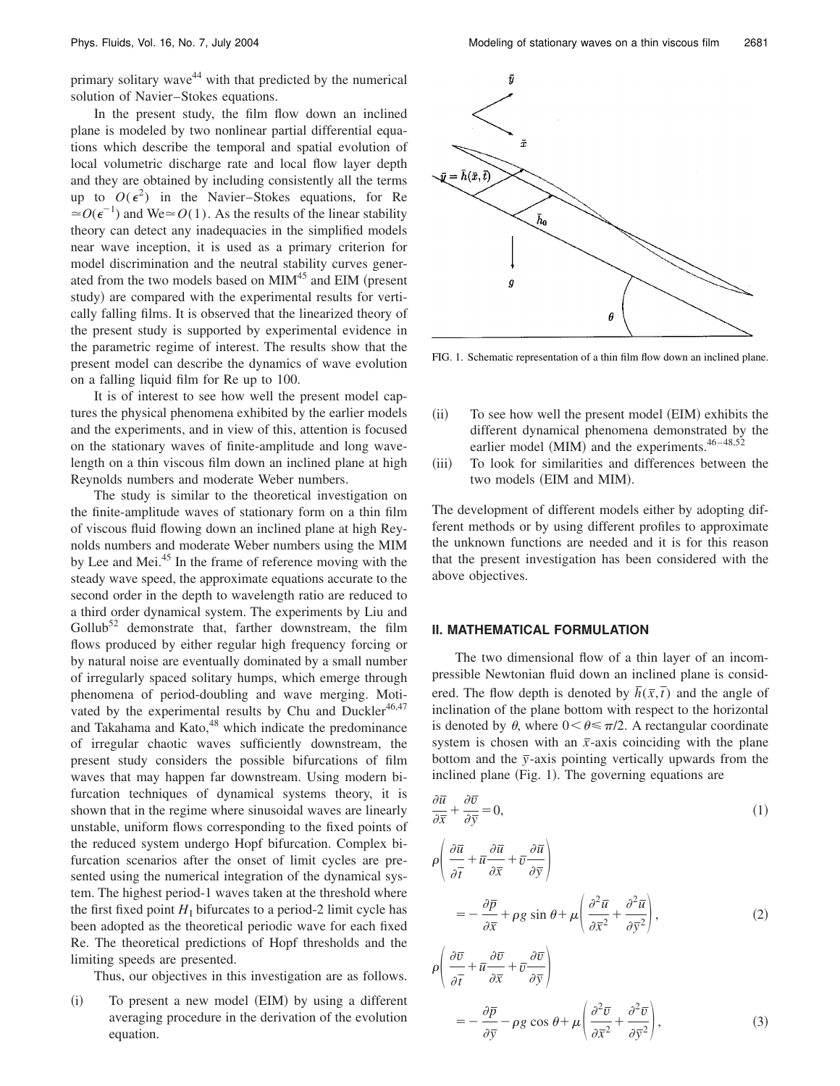primary solitary wave $44$  with that predicted by the numerical solution of Navier–Stokes equations.

In the present study, the film flow down an inclined plane is modeled by two nonlinear partial differential equations which describe the temporal and spatial evolution of local volumetric discharge rate and local flow layer depth and they are obtained by including consistently all the terms up to  $O(\epsilon^2)$  in the Navier–Stokes equations, for Re  $\approx O(\epsilon^{-1})$  and We $\approx O(1)$ . As the results of the linear stability theory can detect any inadequacies in the simplified models near wave inception, it is used as a primary criterion for model discrimination and the neutral stability curves generated from the two models based on  $MIM<sup>45</sup>$  and EIM (present study) are compared with the experimental results for vertically falling films. It is observed that the linearized theory of the present study is supported by experimental evidence in the parametric regime of interest. The results show that the present model can describe the dynamics of wave evolution on a falling liquid film for Re up to 100.

It is of interest to see how well the present model captures the physical phenomena exhibited by the earlier models and the experiments, and in view of this, attention is focused on the stationary waves of finite-amplitude and long wavelength on a thin viscous film down an inclined plane at high Reynolds numbers and moderate Weber numbers.

The study is similar to the theoretical investigation on the finite-amplitude waves of stationary form on a thin film of viscous fluid flowing down an inclined plane at high Reynolds numbers and moderate Weber numbers using the MIM by Lee and Mei.<sup>45</sup> In the frame of reference moving with the steady wave speed, the approximate equations accurate to the second order in the depth to wavelength ratio are reduced to a third order dynamical system. The experiments by Liu and Gollub<sup>52</sup> demonstrate that, farther downstream, the film flows produced by either regular high frequency forcing or by natural noise are eventually dominated by a small number of irregularly spaced solitary humps, which emerge through phenomena of period-doubling and wave merging. Motivated by the experimental results by Chu and Duckler<sup>46,47</sup> and Takahama and Kato, $48$  which indicate the predominance of irregular chaotic waves sufficiently downstream, the present study considers the possible bifurcations of film waves that may happen far downstream. Using modern bifurcation techniques of dynamical systems theory, it is shown that in the regime where sinusoidal waves are linearly unstable, uniform flows corresponding to the fixed points of the reduced system undergo Hopf bifurcation. Complex bifurcation scenarios after the onset of limit cycles are presented using the numerical integration of the dynamical system. The highest period-1 waves taken at the threshold where the first fixed point  $H<sub>I</sub>$  bifurcates to a period-2 limit cycle has been adopted as the theoretical periodic wave for each fixed Re. The theoretical predictions of Hopf thresholds and the limiting speeds are presented.

Thus, our objectives in this investigation are as follows.

(i) To present a new model (EIM) by using a different averaging procedure in the derivation of the evolution equation.



FIG. 1. Schematic representation of a thin film flow down an inclined plane.

- (ii) To see how well the present model (EIM) exhibits the different dynamical phenomena demonstrated by the earlier model (MIM) and the experiments. $46-48,52$
- (iii) To look for similarities and differences between the two models (EIM and MIM).

The development of different models either by adopting different methods or by using different profiles to approximate the unknown functions are needed and it is for this reason that the present investigation has been considered with the above objectives.

#### **II. MATHEMATICAL FORMULATION**

The two dimensional flow of a thin layer of an incompressible Newtonian fluid down an inclined plane is considered. The flow depth is denoted by  $\overline{h}(\overline{x}, \overline{t})$  and the angle of inclination of the plane bottom with respect to the horizontal is denoted by  $\theta$ , where  $0 < \theta \le \pi/2$ . A rectangular coordinate system is chosen with an  $\bar{x}$ -axis coinciding with the plane bottom and the  $\bar{y}$ -axis pointing vertically upwards from the inclined plane  $(Fig. 1)$ . The governing equations are

$$
\frac{\partial \overline{u}}{\partial \overline{x}} + \frac{\partial \overline{v}}{\partial \overline{y}} = 0,
$$
\n(1)\n
$$
\rho \left( \frac{\partial \overline{u}}{\partial \overline{t}} + \overline{u} \frac{\partial \overline{u}}{\partial \overline{x}} + \overline{v} \frac{\partial \overline{u}}{\partial \overline{y}} \right)
$$
\n
$$
\frac{\partial \overline{p}}{\partial \overline{p}} + \overline{v} \frac{\partial \overline{u}}{\partial \overline{y}} + \overline{v} \frac{\partial \overline{u}}{\partial \overline{y}} \right)
$$
\n(2)

$$
= -\frac{\partial p}{\partial \overline{x}} + \rho g \sin \theta + \mu \left( \frac{\partial^2 u}{\partial \overline{x}^2} + \frac{\partial^2 u}{\partial \overline{y}^2} \right),
$$
 (2)

$$
\rho \left( \frac{\partial \overline{v}}{\partial \overline{t}} + \overline{u} \frac{\partial \overline{v}}{\partial \overline{x}} + \overline{v} \frac{\partial \overline{v}}{\partial \overline{y}} \right)
$$
  
= 
$$
- \frac{\partial \overline{p}}{\partial \overline{y}} - \rho g \cos \theta + \mu \left( \frac{\partial^2 \overline{v}}{\partial \overline{x}^2} + \frac{\partial^2 \overline{v}}{\partial \overline{y}^2} \right),
$$
 (3)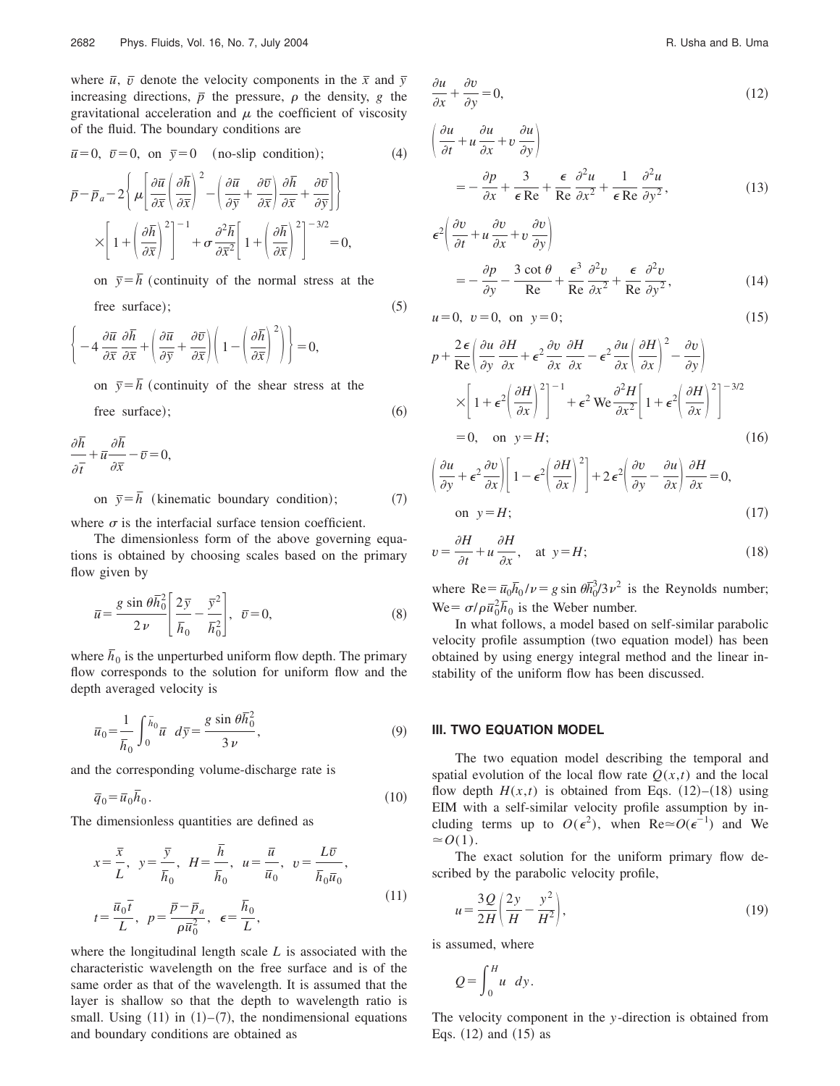where  $\bar{u}$ ,  $\bar{v}$  denote the velocity components in the  $\bar{x}$  and  $\bar{y}$ increasing directions,  $\bar{p}$  the pressure,  $\rho$  the density, *g* the gravitational acceleration and  $\mu$  the coefficient of viscosity of the fluid. The boundary conditions are

$$
\bar{u} = 0, \quad \bar{v} = 0, \text{ on } \bar{y} = 0 \quad \text{(no-slip condition)}; \tag{4}
$$
\n
$$
\bar{p} - \bar{p}_a - 2 \left\{ \mu \left[ \frac{\partial \bar{u}}{\partial \bar{x}} \left( \frac{\partial \bar{h}}{\partial \bar{x}} \right)^2 - \left( \frac{\partial \bar{u}}{\partial \bar{y}} + \frac{\partial \bar{v}}{\partial \bar{x}} \right) \frac{\partial \bar{h}}{\partial \bar{x}} + \frac{\partial \bar{v}}{\partial \bar{y}} \right] \right\}
$$
\n
$$
\times \left[ 1 + \left( \frac{\partial \bar{h}}{\partial \bar{x}} \right)^2 \right]^{-1} + \sigma \frac{\partial^2 \bar{h}}{\partial \bar{x}^2} \left[ 1 + \left( \frac{\partial \bar{h}}{\partial \bar{x}} \right)^2 \right]^{-3/2} = 0,
$$

on  $\bar{y} = \bar{h}$  (continuity of the normal stress at the

$$
free surface); \t(5)
$$

$$
\left\{-4 \frac{\partial \overline{u}}{\partial \overline{x}} \frac{\partial \overline{h}}{\partial \overline{x}} + \left(\frac{\partial \overline{u}}{\partial \overline{y}} + \frac{\partial \overline{v}}{\partial \overline{x}}\right) \left(1 - \left(\frac{\partial \overline{h}}{\partial \overline{x}}\right)^2\right)\right\} = 0,
$$

on  $\bar{y} = \bar{h}$  (continuity of the shear stress at the

$$
free surface); \t(6)
$$

$$
\frac{\partial \overline{h}}{\partial \overline{t}} + \overline{u} \frac{\partial \overline{h}}{\partial \overline{x}} - \overline{v} = 0,
$$

on  $\bar{y} = \bar{h}$  (kinematic boundary condition);  $(7)$ 

where  $\sigma$  is the interfacial surface tension coefficient.

The dimensionless form of the above governing equations is obtained by choosing scales based on the primary flow given by

$$
\overline{u} = \frac{g \sin \theta \overline{h}_0^2}{2 \nu} \left[ \frac{2 \overline{y}}{\overline{h}_0} - \frac{\overline{y}^2}{\overline{h}_0^2} \right], \quad \overline{v} = 0,
$$
\n(8)

where  $\bar{h}_0$  is the unperturbed uniform flow depth. The primary flow corresponds to the solution for uniform flow and the depth averaged velocity is

$$
\bar{u}_0 = \frac{1}{\bar{h}_0} \int_0^{\bar{h}_0} \bar{u} \ d\bar{y} = \frac{g \sin \theta \bar{h}_0^2}{3 \nu},\tag{9}
$$

and the corresponding volume-discharge rate is

$$
\overline{q}_0 = \overline{u}_0 \overline{h}_0. \tag{10}
$$

The dimensionless quantities are defined as

$$
x = \frac{\overline{x}}{L}, \quad y = \frac{\overline{y}}{\overline{h}_0}, \quad H = \frac{\overline{h}}{\overline{h}_0}, \quad u = \frac{\overline{u}}{\overline{u}_0}, \quad v = \frac{L\overline{v}}{\overline{h}_0\overline{u}_0},
$$

$$
t = \frac{\overline{u}_0\overline{t}}{L}, \quad p = \frac{\overline{p} - \overline{p}_a}{\rho \overline{u}_0^2}, \quad \epsilon = \frac{\overline{h}_0}{L},
$$
(11)

where the longitudinal length scale *L* is associated with the characteristic wavelength on the free surface and is of the same order as that of the wavelength. It is assumed that the layer is shallow so that the depth to wavelength ratio is small. Using  $(11)$  in  $(1)$ – $(7)$ , the nondimensional equations and boundary conditions are obtained as

$$
\frac{\partial u}{\partial x} + \frac{\partial v}{\partial y} = 0,\tag{12}
$$

$$
\left(\frac{\partial u}{\partial t} + u \frac{\partial u}{\partial x} + v \frac{\partial u}{\partial y}\right)
$$
  
=  $-\frac{\partial p}{\partial x} + \frac{3}{\epsilon \text{ Re}} + \frac{\epsilon}{\text{ Re}} \frac{\partial^2 u}{\partial x^2} + \frac{1}{\epsilon \text{ Re}} \frac{\partial^2 u}{\partial y^2},$  (13)

$$
\epsilon^{2} \left( \frac{\partial v}{\partial t} + u \frac{\partial v}{\partial x} + v \frac{\partial v}{\partial y} \right)
$$
  
=  $-\frac{\partial p}{\partial y} - \frac{3 \cot \theta}{Re} + \frac{\epsilon^{3}}{Re} \frac{\partial^{2} v}{\partial x^{2}} + \frac{\epsilon}{Re} \frac{\partial^{2} v}{\partial y^{2}},$  (14)

$$
u = 0, v = 0, \text{ on } y = 0;
$$
 (15)

$$
p + \frac{2\epsilon}{\text{Re}} \left( \frac{\partial u}{\partial y} \frac{\partial H}{\partial x} + \epsilon^2 \frac{\partial v}{\partial x} \frac{\partial H}{\partial x} - \epsilon^2 \frac{\partial u}{\partial x} \left( \frac{\partial H}{\partial x} \right)^2 - \frac{\partial v}{\partial y} \right) \times \left[ 1 + \epsilon^2 \left( \frac{\partial H}{\partial x} \right)^2 \right]^{-1} + \epsilon^2 \text{ We } \frac{\partial^2 H}{\partial x^2} \left[ 1 + \epsilon^2 \left( \frac{\partial H}{\partial x} \right)^2 \right]^{-3/2} = 0, \text{ on } y = H; \tag{16}
$$

$$
\left(\frac{\partial u}{\partial y} + \epsilon^2 \frac{\partial v}{\partial x}\right) \left[1 - \epsilon^2 \left(\frac{\partial H}{\partial x}\right)^2\right] + 2\epsilon^2 \left(\frac{\partial v}{\partial y} - \frac{\partial u}{\partial x}\right) \frac{\partial H}{\partial x} = 0,
$$
  
on  $y = H;$  (17)

$$
v = \frac{\partial H}{\partial t} + u \frac{\partial H}{\partial x}, \quad \text{at } y = H; \tag{18}
$$

where  $\text{Re} = \overline{u}_0 \overline{h}_0 / \nu = g \sin \theta \overline{h}_0^3 / 3 \nu^2$  is the Reynolds number; We=  $\sigma/\rho \bar{u}_0^2 \bar{h}_0$  is the Weber number.

In what follows, a model based on self-similar parabolic velocity profile assumption (two equation model) has been obtained by using energy integral method and the linear instability of the uniform flow has been discussed.

#### **III. TWO EQUATION MODEL**

The two equation model describing the temporal and spatial evolution of the local flow rate  $Q(x,t)$  and the local flow depth  $H(x,t)$  is obtained from Eqs.  $(12)$ – $(18)$  using EIM with a self-similar velocity profile assumption by including terms up to  $O(\epsilon^2)$ , when  $\text{Re} \approx O(\epsilon^{-1})$  and We  $\simeq$   $O(1)$ .

The exact solution for the uniform primary flow described by the parabolic velocity profile,

$$
u = \frac{3Q}{2H} \left( \frac{2y}{H} - \frac{y^2}{H^2} \right),\tag{19}
$$

is assumed, where

$$
Q = \int_0^H u \, dy.
$$

The velocity component in the *y*-direction is obtained from Eqs.  $(12)$  and  $(15)$  as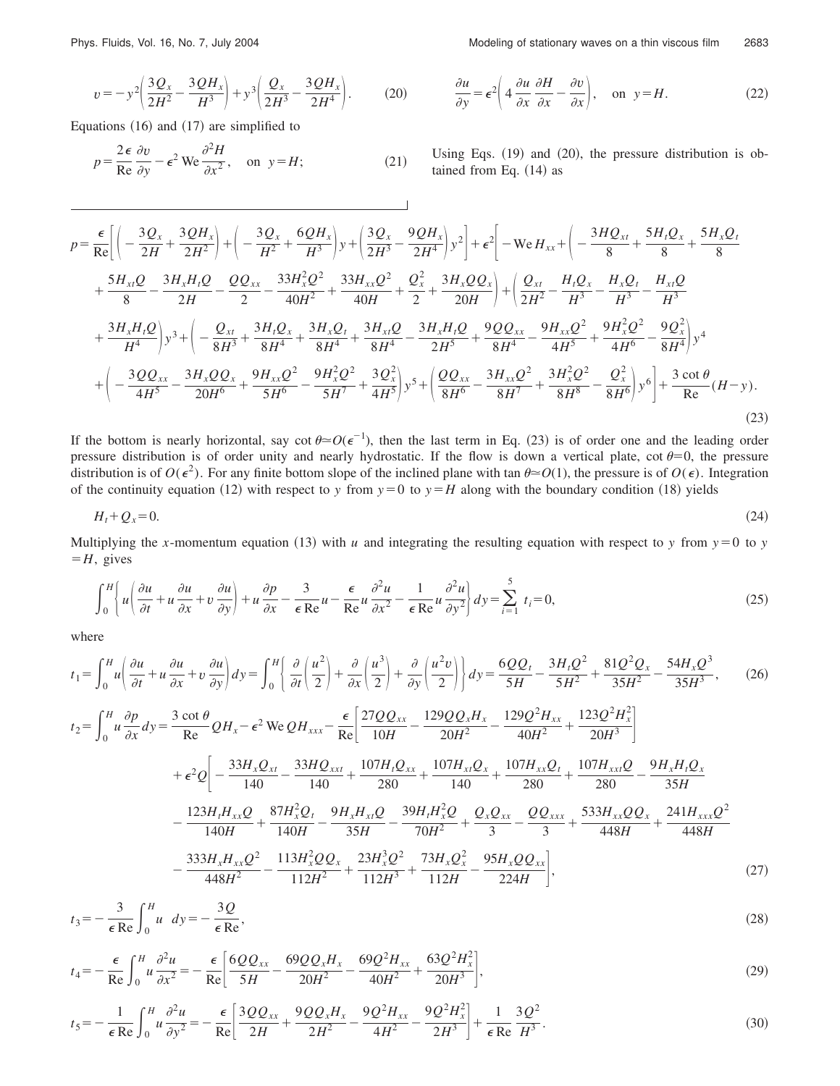$$
v = -y^{2} \left( \frac{3Q_{x}}{2H^{2}} - \frac{3QH_{x}}{H^{3}} \right) + y^{3} \left( \frac{Q_{x}}{2H^{3}} - \frac{3QH_{x}}{2H^{4}} \right). \tag{20}
$$

Equations  $(16)$  and  $(17)$  are simplified to

$$
p = \frac{2\epsilon}{\text{Re}} \frac{\partial v}{\partial y} - \epsilon^2 \text{ We } \frac{\partial^2 H}{\partial x^2}, \text{ on } y = H; \tag{21}
$$

$$
\frac{\partial u}{\partial y} = \epsilon^2 \left( 4 \frac{\partial u}{\partial x} \frac{\partial H}{\partial x} - \frac{\partial v}{\partial x} \right), \quad \text{on } y = H.
$$
 (22)

Using Eqs.  $(19)$  and  $(20)$ , the pressure distribution is obtained from Eq.  $(14)$  as

$$
p = \frac{\epsilon}{\text{Re}} \Biggl[ \left( -\frac{3Q_x}{2H} + \frac{3QH_x}{2H^2} \right) + \left( -\frac{3Q_x}{H^2} + \frac{6QH_x}{H^3} \right) y + \left( \frac{3Q_x}{2H^3} - \frac{9QH_x}{2H^4} \right) y^2 \Biggr] + \epsilon^2 \Biggr[ -\text{We } H_{xx} + \left( -\frac{3HQ_{xt}}{8} + \frac{5H_tQ_x}{8} + \frac{5H_xQ_t}{8} \right) + \frac{5H_{xt}Q}{8} - \frac{3H_xH_tQ}{2H} - \frac{QQ_{xx}}{2H} - \frac{33H_x^2Q^2}{40H^2} + \frac{33H_{xx}Q^2}{40H} + \frac{Q_x^2}{2} + \frac{3H_xQQ_x}{20H} \Biggr) + \left( \frac{Q_{xt}}{2H^2} - \frac{H_tQ_x}{H^3} - \frac{H_xQ_t}{H^3} - \frac{H_{xt}Q}{H^3} \right) + \frac{3H_xH_tQ}{H^3} \Biggr) y^3 + \left( -\frac{Q_{xt}}{8H^3} + \frac{3H_tQ_x}{8H^4} + \frac{3H_xQ_t}{8H^4} + \frac{3H_{xt}Q}{8H^4} - \frac{3H_xH_tQ}{2H^5} + \frac{9QQ_{xx}}{8H^4} - \frac{9H_{xx}Q^2}{4H^5} + \frac{9H_x^2Q^2}{4H^5} - \frac{9H_x^2Q^2}{4H^6} - \frac{9Q_x^2}{8H^4} \Biggr) y^4 \Biggr] + \left( -\frac{3QQ_{xx}}{4H^5} - \frac{3H_xQQ_x}{20H^6} + \frac{9H_{xx}Q^2}{5H^6} - \frac{9H_x^2Q^2}{5H^7} + \frac{3Q_x^2}{4H^5} \Biggr) y^5 + \left( \frac{QQ_{xx}}{8H^6} - \frac{3H_{xx}Q^2}{8H^7} + \frac{3H_x^2Q^2}{8H^8} - \frac{Q_x^2}{8H^6} \right) y^6 \Biggr] + \frac{3 \cot \theta}{\text{Re}} (H - y). \tag{23}
$$

If the bottom is nearly horizontal, say cot  $\theta \approx O(\epsilon^{-1})$ , then the last term in Eq. (23) is of order one and the leading order pressure distribution is of order unity and nearly hydrostatic. If the flow is down a vertical plate, cot  $\theta=0$ , the pressure distribution is of  $O(\epsilon^2)$ . For any finite bottom slope of the inclined plane with tan  $\theta \approx O(1)$ , the pressure is of  $O(\epsilon)$ . Integration of the continuity equation (12) with respect to *y* from  $y=0$  to  $y=H$  along with the boundary condition (18) yields

$$
H_t + Q_x = 0.\tag{24}
$$

Multiplying the *x*-momentum equation (13) with *u* and integrating the resulting equation with respect to *y* from  $y=0$  to *y*  $=$ *H*, gives

$$
\int_0^H \left\{ u \left( \frac{\partial u}{\partial t} + u \frac{\partial u}{\partial x} + v \frac{\partial u}{\partial y} \right) + u \frac{\partial p}{\partial x} - \frac{3}{\epsilon \text{ Re}} u - \frac{\epsilon}{\text{Re}} u \frac{\partial^2 u}{\partial x^2} - \frac{1}{\epsilon \text{ Re}} u \frac{\partial^2 u}{\partial y^2} \right\} dy = \sum_{i=1}^5 t_i = 0,
$$
\n(25)

where

$$
t_{1} = \int_{0}^{H} u \left( \frac{\partial u}{\partial t} + u \frac{\partial u}{\partial x} + v \frac{\partial u}{\partial y} \right) dy = \int_{0}^{H} \left\{ \frac{\partial}{\partial t} \left( \frac{u^{2}}{2} \right) + \frac{\partial}{\partial x} \left( \frac{u^{3}}{2} \right) + \frac{\partial}{\partial y} \left( \frac{u^{2}v}{2} \right) \right\} dy = \frac{6QQ_{t}}{5H} - \frac{3H_{t}Q^{2}}{5H^{2}} + \frac{81Q^{2}Q_{x}}{35H^{2}} - \frac{54H_{x}Q^{3}}{35H^{3}}, \qquad (26)
$$
\n
$$
t_{2} = \int_{0}^{H} u \frac{\partial p}{\partial x} dy = \frac{3 \cot \theta}{\text{Re}} QH_{x} - \epsilon^{2} \text{ We } QH_{xxx} - \frac{\epsilon}{\text{Re}} \left[ \frac{27QQ_{xx}}{10H} - \frac{129QQ_{x}H_{x}}{20H^{2}} - \frac{129Q^{2}H_{xx}}{40H^{2}} + \frac{123Q^{2}H_{x}^{2}}{20H^{3}} \right]
$$
\n
$$
+ \epsilon^{2}Q \left[ -\frac{33H_{x}Q_{xt}}{140} - \frac{33HQ_{xxt}}{140} + \frac{107H_{t}Q_{xx}}{280} + \frac{107H_{xt}Q_{x}}{140} + \frac{107H_{xx}Q_{t}}{280} + \frac{107H_{xx}Q_{t}}{280} - \frac{9H_{x}H_{t}Q_{x}}{35H} \right]
$$
\n
$$
- \frac{123H_{t}H_{xx}Q}{140H} + \frac{87H_{x}^{2}Q_{t}}{140H} - \frac{9H_{x}H_{x1}Q}{35H} - \frac{39H_{t}H_{x}^{2}Q}{70H^{2}} + \frac{Q_{x}Q_{xx}}{3} - \frac{QQ_{xxx}}{3} + \frac{533H_{xx}QQ_{x}}{448H} + \frac{241H_{xxx}Q^{2}}{448H}
$$
\n
$$
- \frac{333H_{x}H_{xx}Q^{
$$

$$
t_3 = -\frac{3}{\epsilon \text{ Re}} \int_0^H u \, dy = -\frac{3Q}{\epsilon \text{ Re}},\tag{28}
$$

$$
t_4 = -\frac{\epsilon}{\text{Re}} \int_0^H u \frac{\partial^2 u}{\partial x^2} = -\frac{\epsilon}{\text{Re}} \left[ \frac{6QQ_{xx}}{5H} - \frac{69QQ_xH_x}{20H^2} - \frac{69Q^2H_{xx}}{40H^2} + \frac{63Q^2H_x^2}{20H^3} \right],\tag{29}
$$

$$
t_5 = -\frac{1}{\epsilon \text{Re}} \int_0^H u \frac{\partial^2 u}{\partial y^2} = -\frac{\epsilon}{\text{Re}} \left[ \frac{3QQ_{xx}}{2H} + \frac{9QQ_xH_x}{2H^2} - \frac{9Q^2H_{xx}}{4H^2} - \frac{9Q^2H_x^2}{2H^3} \right] + \frac{1}{\epsilon \text{Re}} \frac{3Q^2}{H^3}.
$$
 (30)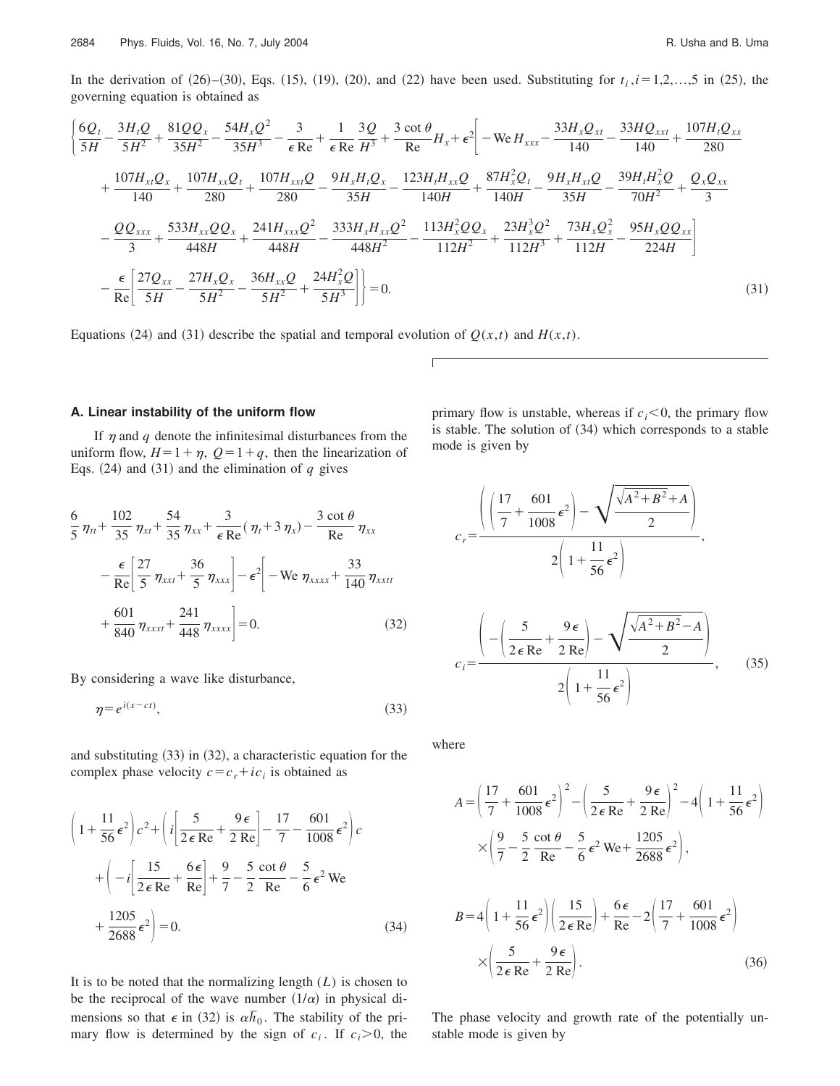In the derivation of  $(26)$ – $(30)$ , Eqs.  $(15)$ ,  $(19)$ ,  $(20)$ , and  $(22)$  have been used. Substituting for  $t_i$ ,  $i = 1,2,...,5$  in  $(25)$ , the governing equation is obtained as

$$
\left\{\frac{6Q_t}{5H} - \frac{3H_tQ}{5H^2} + \frac{81QQ_x}{35H^2} - \frac{54H_xQ^2}{35H^3} - \frac{3}{\epsilon \text{Re}} + \frac{1}{\epsilon \text{Re}} \frac{3Q}{H^3} + \frac{3 \cot \theta}{\text{Re}} H_x + \epsilon^2 \right\} - \text{We } H_{xxx} - \frac{33H_xQ_{xt}}{140} - \frac{33HQ_{xxt}}{140} + \frac{107H_tQ_{xx}}{280} + \frac{107H_{xt}Q_x}{140} + \frac{107H_{xx}Q_t}{280} + \frac{107H_{xx}Q_t}{280} + \frac{107H_{xx}Q_t}{280} - \frac{9H_xH_tQ_x}{35H} - \frac{123H_tH_{xx}Q}{140H} + \frac{87H_x^2Q_t}{140H} - \frac{9H_xH_{xt}Q}{35H} - \frac{39H_tH_x^2Q}{70H^2} + \frac{Q_xQ_{xx}}{3} + \frac{633H_{xx}QQ_x}{448H} + \frac{241H_{xxx}Q^2}{448H} - \frac{333H_xH_{xx}Q^2}{448H^2} - \frac{113H_x^2QQ_x}{112H^2} + \frac{23H_x^3Q^2}{112H^3} + \frac{73H_xQ_x^2}{112H} - \frac{95H_xQQ_{xx}}{224H} \right\}
$$
\n
$$
-\frac{\epsilon}{\text{Re}} \left[ \frac{27Q_{xx}}{5H} - \frac{27H_xQ_x}{5H^2} - \frac{36H_{xx}Q}{5H^2} + \frac{24H_x^2Q}{5H^3} \right] = 0. \tag{31}
$$

г

Equations (24) and (31) describe the spatial and temporal evolution of  $Q(x,t)$  and  $H(x,t)$ .

#### **A. Linear instability of the uniform flow**

If  $\eta$  and  $q$  denote the infinitesimal disturbances from the uniform flow,  $H=1+\eta$ ,  $Q=1+q$ , then the linearization of Eqs.  $(24)$  and  $(31)$  and the elimination of *q* gives

$$
\frac{6}{5} \eta_{tt} + \frac{102}{35} \eta_{xt} + \frac{54}{35} \eta_{xx} + \frac{3}{\epsilon \text{ Re}} (\eta_t + 3 \eta_x) - \frac{3 \cot \theta}{\text{Re}} \eta_{xx}
$$

$$
- \frac{\epsilon}{\text{Re}} \left[ \frac{27}{5} \eta_{xxt} + \frac{36}{5} \eta_{xxx} \right] - \epsilon^2 \left[ -\text{We } \eta_{xxxx} + \frac{33}{140} \eta_{xxtt} + \frac{601}{840} \eta_{xxxt} + \frac{241}{448} \eta_{xxxxx} \right] = 0. \tag{32}
$$

By considering a wave like disturbance,

$$
\eta = e^{i(x-ct)},\tag{33}
$$

and substituting  $(33)$  in  $(32)$ , a characteristic equation for the complex phase velocity  $c = c_r + ic_i$  is obtained as

$$
\left(1 + \frac{11}{56}\epsilon^2\right)c^2 + \left(i\left[\frac{5}{2\epsilon \text{Re}} + \frac{9\epsilon}{2 \text{Re}}\right] - \frac{17}{7} - \frac{601}{1008}\epsilon^2\right)c + \left(-i\left[\frac{15}{2\epsilon \text{Re}} + \frac{6\epsilon}{\text{Re}}\right] + \frac{9}{7} - \frac{5}{2}\frac{\cot \theta}{\text{Re}} - \frac{5}{6}\epsilon^2 \text{ We} + \frac{1205}{2688}\epsilon^2\right) = 0.
$$
\n(34)

It is to be noted that the normalizing length  $(L)$  is chosen to be the reciprocal of the wave number  $(1/\alpha)$  in physical dimensions so that  $\epsilon$  in (32) is  $\alpha \overline{h}_0$ . The stability of the primary flow is determined by the sign of  $c_i$ . If  $c_i > 0$ , the primary flow is unstable, whereas if  $c_i < 0$ , the primary flow is stable. The solution of  $(34)$  which corresponds to a stable mode is given by

$$
c_r = \frac{\left(\left(\frac{17}{7} + \frac{601}{1008}\epsilon^2\right) - \sqrt{\frac{\sqrt{A^2 + B^2} + A}{2}}\right)}{2\left(1 + \frac{11}{56}\epsilon^2\right)},
$$

$$
c_i = \frac{\left(-\left(\frac{5}{2\epsilon \text{Re}} + \frac{9\epsilon}{2\text{Re}}\right) - \sqrt{\frac{\sqrt{A^2 + B^2} - A}{2}}\right)}{2\left(1 + \frac{11}{56}\epsilon^2\right)},
$$
(35)

where

$$
A = \left(\frac{17}{7} + \frac{601}{1008}\epsilon^2\right)^2 - \left(\frac{5}{2\epsilon \text{ Re}} + \frac{9\epsilon}{2\text{ Re}}\right)^2 - 4\left(1 + \frac{11}{56}\epsilon^2\right)
$$

$$
\times \left(\frac{9}{7} - \frac{5}{2}\frac{\cot \theta}{\text{Re}} - \frac{5}{6}\epsilon^2 \text{ We} + \frac{1205}{2688}\epsilon^2\right),
$$

$$
B = 4\left(1 + \frac{11}{56}\epsilon^2\right)\left(\frac{15}{2\epsilon \text{ Re}}\right) + \frac{6\epsilon}{\text{Re}} - 2\left(\frac{17}{7} + \frac{601}{1008}\epsilon^2\right)
$$

$$
\times \left(\frac{5}{2\epsilon \text{ Re}} + \frac{9\epsilon}{2 \text{ Re}}\right).
$$
 (36)

The phase velocity and growth rate of the potentially unstable mode is given by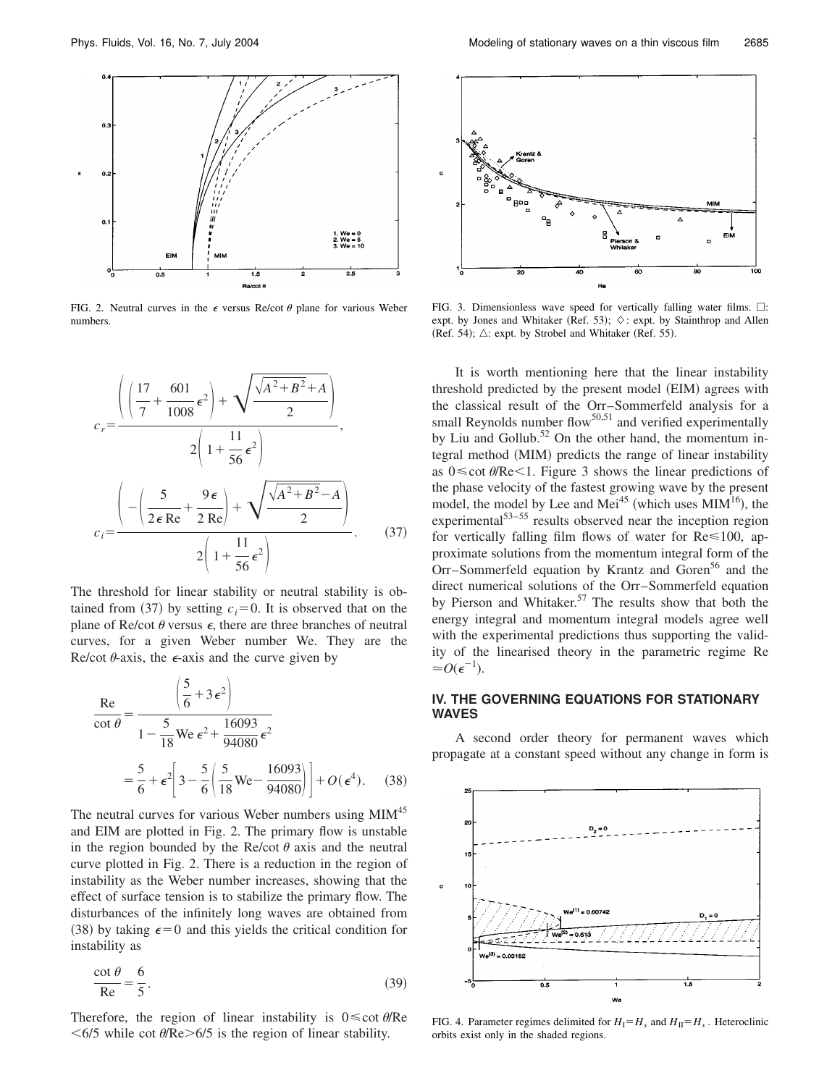

FIG. 2. Neutral curves in the  $\epsilon$  versus Re/cot  $\theta$  plane for various Weber numbers.

$$
c_r = \frac{\left(\left(\frac{17}{7} + \frac{601}{1008}\epsilon^2\right) + \sqrt{\frac{\sqrt{A^2 + B^2} + A}{2}}\right)}{2\left(1 + \frac{11}{56}\epsilon^2\right)},
$$
  

$$
c_i = \frac{\left(-\left(\frac{5}{2\epsilon \text{ Re}} + \frac{9\epsilon}{2 \text{ Re}}\right) + \sqrt{\frac{\sqrt{A^2 + B^2} - A}{2}}\right)}{2\left(1 + \frac{11}{56}\epsilon^2\right)}.
$$
(37)

The threshold for linear stability or neutral stability is obtained from (37) by setting  $c_i=0$ . It is observed that on the plane of Re/cot  $\theta$  versus  $\epsilon$ , there are three branches of neutral curves, for a given Weber number We. They are the Re/cot  $\theta$ -axis, the  $\epsilon$ -axis and the curve given by

$$
\frac{\text{Re}}{\cot \theta} = \frac{\left(\frac{5}{6} + 3\epsilon^2\right)}{1 - \frac{5}{18}\text{We }\epsilon^2 + \frac{16093}{94080}\epsilon^2}
$$

$$
= \frac{5}{6} + \epsilon^2 \left[3 - \frac{5}{6}\left(\frac{5}{18}\text{We} - \frac{16093}{94080}\right)\right] + O(\epsilon^4). \quad (38)
$$

The neutral curves for various Weber numbers using MIM<sup>45</sup> and EIM are plotted in Fig. 2. The primary flow is unstable in the region bounded by the Re/cot  $\theta$  axis and the neutral curve plotted in Fig. 2. There is a reduction in the region of instability as the Weber number increases, showing that the effect of surface tension is to stabilize the primary flow. The disturbances of the infinitely long waves are obtained from (38) by taking  $\epsilon=0$  and this yields the critical condition for instability as

$$
\frac{\cot \theta}{\text{Re}} = \frac{6}{5}.
$$
 (39)

Therefore, the region of linear instability is  $0 \le \cot \theta / \text{Re}$  $<$  6/5 while cot  $\theta$ /Re $>$  6/5 is the region of linear stability.



FIG. 3. Dimensionless wave speed for vertically falling water films.  $\square$ : expt. by Jones and Whitaker (Ref. 53);  $\Diamond$ : expt. by Stainthrop and Allen (Ref. 54);  $\triangle$ : expt. by Strobel and Whitaker (Ref. 55).

It is worth mentioning here that the linear instability threshold predicted by the present model (EIM) agrees with the classical result of the Orr–Sommerfeld analysis for a small Reynolds number flow<sup>50,51</sup> and verified experimentally by Liu and Gollub.<sup>52</sup> On the other hand, the momentum integral method (MIM) predicts the range of linear instability as  $0 \le \cot \theta$ /Re $\le 1$ . Figure 3 shows the linear predictions of the phase velocity of the fastest growing wave by the present model, the model by Lee and Mei<sup>45</sup> (which uses  $MIM<sup>16</sup>$ ), the experimental $53-55$  results observed near the inception region for vertically falling film flows of water for  $Re \le 100$ , approximate solutions from the momentum integral form of the Orr–Sommerfeld equation by Krantz and Goren $56$  and the direct numerical solutions of the Orr–Sommerfeld equation by Pierson and Whitaker.<sup>57</sup> The results show that both the energy integral and momentum integral models agree well with the experimental predictions thus supporting the validity of the linearised theory in the parametric regime Re  $\approx O(\epsilon^{-1}).$ 

# **IV. THE GOVERNING EQUATIONS FOR STATIONARY WAVES**

A second order theory for permanent waves which propagate at a constant speed without any change in form is



FIG. 4. Parameter regimes delimited for  $H_1 = H_s$  and  $H_{II} = H_s$ . Heteroclinic orbits exist only in the shaded regions.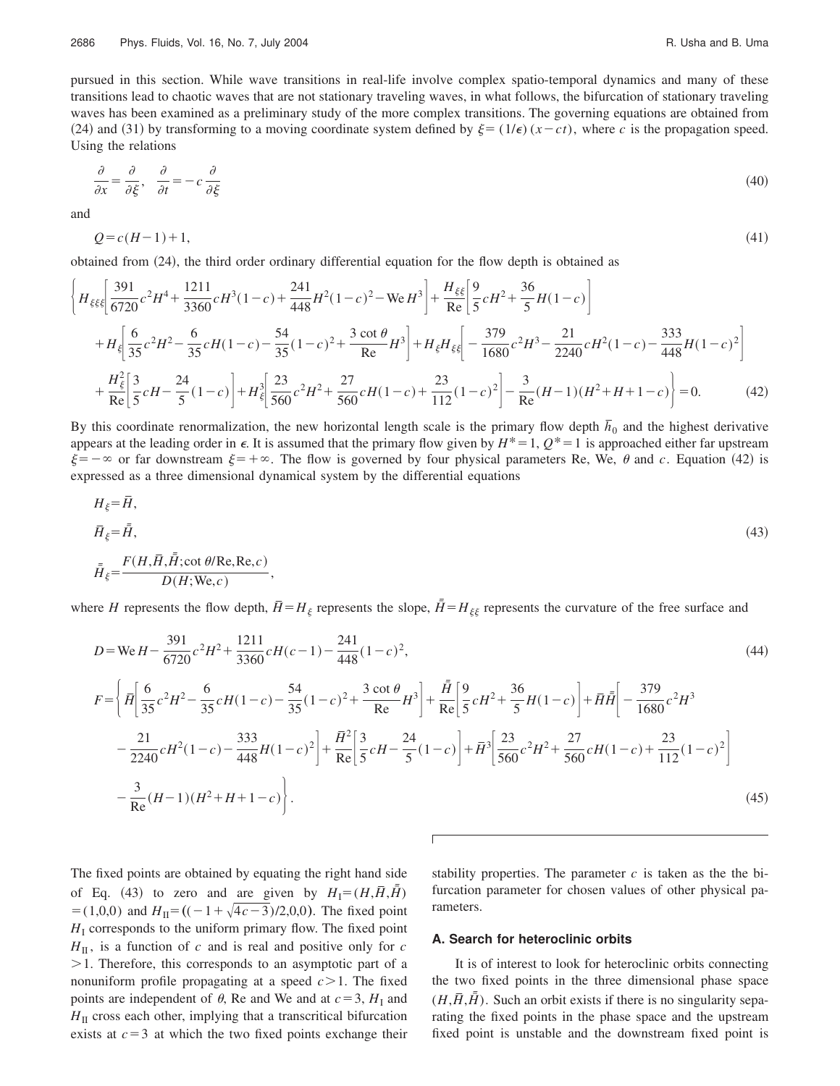pursued in this section. While wave transitions in real-life involve complex spatio-temporal dynamics and many of these transitions lead to chaotic waves that are not stationary traveling waves, in what follows, the bifurcation of stationary traveling waves has been examined as a preliminary study of the more complex transitions. The governing equations are obtained from (24) and (31) by transforming to a moving coordinate system defined by  $\xi = (1/\epsilon) (x - ct)$ , where *c* is the propagation speed. Using the relations

$$
\frac{\partial}{\partial x} = \frac{\partial}{\partial \xi}, \quad \frac{\partial}{\partial t} = -c \frac{\partial}{\partial \xi}
$$
(40)

and

$$
Q = c(H-1) + 1,\tag{41}
$$

obtained from  $(24)$ , the third order ordinary differential equation for the flow depth is obtained as

$$
\left\{ H_{\xi\xi\xi} \left[ \frac{391}{6720} c^2 H^4 + \frac{1211}{3360} c H^3 (1 - c) + \frac{241}{448} H^2 (1 - c)^2 - \text{We } H^3 \right] + \frac{H_{\xi\xi}}{\text{Re}} \left[ \frac{9}{5} c H^2 + \frac{36}{5} H (1 - c) \right] \right\}
$$
\n
$$
+ H_{\xi} \left[ \frac{6}{35} c^2 H^2 - \frac{6}{35} c H (1 - c) - \frac{54}{35} (1 - c)^2 + \frac{3 \cot \theta}{\text{Re}} H^3 \right] + H_{\xi} H_{\xi\xi} \left[ -\frac{379}{1680} c^2 H^3 - \frac{21}{2240} c H^2 (1 - c) - \frac{333}{448} H (1 - c)^2 \right]
$$
\n
$$
+ \frac{H_{\xi}^2}{\text{Re}} \left[ \frac{3}{5} c H - \frac{24}{5} (1 - c) \right] + H_{\xi}^3 \left[ \frac{23}{560} c^2 H^2 + \frac{27}{560} c H (1 - c) + \frac{23}{112} (1 - c)^2 \right] - \frac{3}{\text{Re}} (H - 1)(H^2 + H + 1 - c) \right] = 0. \tag{42}
$$

By this coordinate renormalization, the new horizontal length scale is the primary flow depth  $\bar{h}_0$  and the highest derivative appears at the leading order in  $\epsilon$ . It is assumed that the primary flow given by  $H^* = 1$ ,  $Q^* = 1$  is approached either far upstream  $\xi=-\infty$  or far downstream  $\xi=-\infty$ . The flow is governed by four physical parameters Re, We,  $\theta$  and *c*. Equation (42) is expressed as a three dimensional dynamical system by the differential equations

$$
H_{\xi} = \overline{H},
$$
  
\n
$$
\overline{H}_{\xi} = \overline{\overline{H}},
$$
\n
$$
\overline{\overline{H}}_{\xi} = \frac{F(H, \overline{H}, \overline{H}, \overline{F}; \cot \theta / \text{Re}, \text{Re}, c)}{D(H; \text{We}, c)},
$$
\n(43)

where *H* represents the flow depth,  $\bar{H} = H_{\xi}$  represents the slope,  $\bar{H} = H_{\xi\xi}$  represents the curvature of the free surface and

$$
D = \text{We } H - \frac{391}{6720}c^2H^2 + \frac{1211}{3360}cH(c-1) - \frac{241}{448}(1-c)^2,
$$
\n
$$
F = \left\{\overline{H}\left[\frac{6}{35}c^2H^2 - \frac{6}{35}cH(1-c) - \frac{54}{35}(1-c)^2 + \frac{3\cot\theta}{\text{Re}}H^3\right] + \frac{\overline{H}}{\text{Re}}\left[\frac{9}{5}cH^2 + \frac{36}{5}H(1-c)\right] + \overline{H}\overline{H}\left[-\frac{379}{1680}c^2H^3\right] - \frac{21}{2240}cH^2(1-c) - \frac{333}{448}H(1-c)^2\right\} + \frac{\overline{H}^2}{\text{Re}}\left[\frac{3}{5}cH - \frac{24}{5}(1-c)\right] + \overline{H}^3\left[\frac{23}{560}c^2H^2 + \frac{27}{560}cH(1-c) + \frac{23}{112}(1-c)^2\right] - \frac{3}{\text{Re}}(H-1)(H^2 + H + 1-c)\right\}.
$$
\n(45)

The fixed points are obtained by equating the right hand side of Eq. (43) to zero and are given by  $H_1 = (H, \bar{H}, \bar{H})$  $= (1,0,0)$  and  $H_{\text{II}} = ((-1 + \sqrt{4c-3})/2,0,0)$ . The fixed point  $H<sub>I</sub>$  corresponds to the uniform primary flow. The fixed point  $H<sub>II</sub>$ , is a function of *c* and is real and positive only for *c*  $>1$ . Therefore, this corresponds to an asymptotic part of a nonuniform profile propagating at a speed  $c > 1$ . The fixed points are independent of  $\theta$ , Re and We and at  $c=3$ ,  $H<sub>I</sub>$  and  $H<sub>II</sub>$  cross each other, implying that a transcritical bifurcation exists at  $c=3$  at which the two fixed points exchange their stability properties. The parameter  $c$  is taken as the the bifurcation parameter for chosen values of other physical parameters.

#### **A. Search for heteroclinic orbits**

It is of interest to look for heteroclinic orbits connecting the two fixed points in the three dimensional phase space  $(H,\bar{H},\bar{H})$ . Such an orbit exists if there is no singularity separating the fixed points in the phase space and the upstream fixed point is unstable and the downstream fixed point is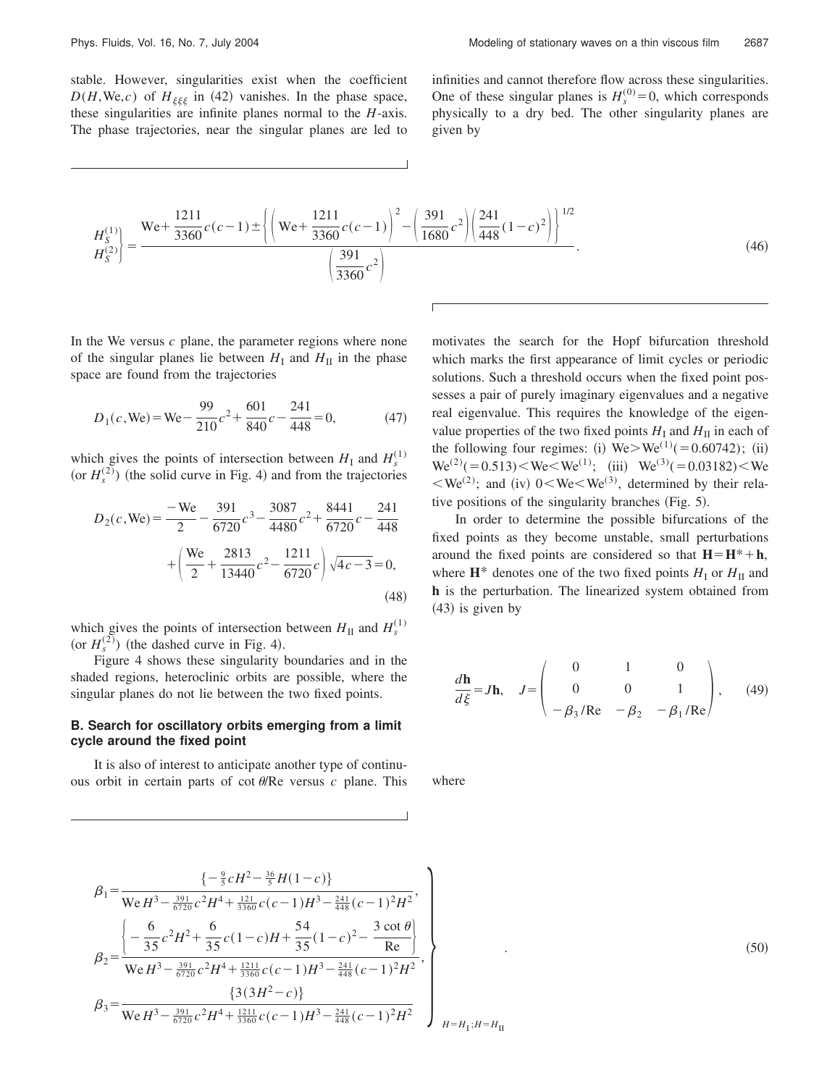stable. However, singularities exist when the coefficient  $D(H, \text{We}, c)$  of  $H_{\xi\xi\xi}$  in (42) vanishes. In the phase space, these singularities are infinite planes normal to the *H*-axis. The phase trajectories, near the singular planes are led to infinities and cannot therefore flow across these singularities. One of these singular planes is  $H_s^{(0)} = 0$ , which corresponds physically to a dry bed. The other singularity planes are given by

$$
\frac{H_S^{(1)}}{H_S^{(2)}} = \frac{\text{We} + \frac{1211}{3360}c(c-1) \pm \left\{ \left( \text{We} + \frac{1211}{3360}c(c-1) \right)^2 - \left( \frac{391}{1680}c^2 \right) \left( \frac{241}{448}(1-c)^2 \right) \right\}^{1/2}}{\left( \frac{391}{3360}c^2 \right)}.
$$
\n(46)

In the We versus  $c$  plane, the parameter regions where none of the singular planes lie between  $H<sub>I</sub>$  and  $H<sub>II</sub>$  in the phase space are found from the trajectories

$$
D_1(c, \text{We}) = \text{We} - \frac{99}{210}c^2 + \frac{601}{840}c - \frac{241}{448} = 0,\tag{47}
$$

which gives the points of intersection between  $H_I$  and  $H_s^{(1)}$ (or  $H_s^{(2)}$ ) (the solid curve in Fig. 4) and from the trajectories

$$
D_2(c, \text{We}) = \frac{-\text{We}}{2} - \frac{391}{6720}c^3 - \frac{3087}{4480}c^2 + \frac{8441}{6720}c - \frac{241}{448} + \left(\frac{\text{We}}{2} + \frac{2813}{13440}c^2 - \frac{1211}{6720}c\right)\sqrt{4c - 3} = 0,
$$
\n(48)

which gives the points of intersection between  $H_{\text{II}}$  and  $H_{\text{s}}^{(1)}$ (or  $H_s^{(2)}$ ) (the dashed curve in Fig. 4).

Figure 4 shows these singularity boundaries and in the shaded regions, heteroclinic orbits are possible, where the singular planes do not lie between the two fixed points.

# **B. Search for oscillatory orbits emerging from a limit cycle around the fixed point**

It is also of interest to anticipate another type of continuous orbit in certain parts of cot  $\theta$ /Re versus *c* plane. This motivates the search for the Hopf bifurcation threshold which marks the first appearance of limit cycles or periodic solutions. Such a threshold occurs when the fixed point possesses a pair of purely imaginary eigenvalues and a negative real eigenvalue. This requires the knowledge of the eigenvalue properties of the two fixed points  $H<sub>I</sub>$  and  $H<sub>II</sub>$  in each of the following four regimes: (i)  $We > We^{(1)}(=0.60742)$ ; (ii)  $We^{(2)}(=0.513)<\text{We}<\text{We}^{(1)}$ ; (iii)  $We^{(3)}(=0.03182)<\text{We}$  $\langle W_e^{(2)} \rangle$ ; and (iv) 0 $\langle W_e^{(3)} \rangle$ , determined by their relative positions of the singularity branches  $(Fig. 5)$ .

In order to determine the possible bifurcations of the fixed points as they become unstable, small perturbations around the fixed points are considered so that  $H=H^*+h$ , where  $\mathbf{H}^*$  denotes one of the two fixed points  $H_I$  or  $H_{II}$  and **h** is the perturbation. The linearized system obtained from  $(43)$  is given by

$$
\frac{d\mathbf{h}}{d\xi} = J\mathbf{h}, \quad J = \begin{pmatrix} 0 & 1 & 0 \\ 0 & 0 & 1 \\ -\beta_3/\text{Re} & -\beta_2 & -\beta_1/\text{Re} \end{pmatrix}, \quad (49)
$$

where

$$
\beta_{1} = \frac{\{-\frac{9}{5}cH^{2} - \frac{36}{5}H(1-c)\}}{\text{We }H^{3} - \frac{391}{6720}c^{2}H^{4} + \frac{121}{3360}c(c-1)H^{3} - \frac{241}{448}(c-1)^{2}H^{2}},
$$
\n
$$
\beta_{2} = \frac{\left\{-\frac{6}{35}c^{2}H^{2} + \frac{6}{35}c(1-c)H + \frac{54}{35}(1-c)^{2} - \frac{3\cot\theta}{\text{Re}}\right\}}{\text{We }H^{3} - \frac{391}{6720}c^{2}H^{4} + \frac{1211}{3360}c(c-1)H^{3} - \frac{241}{448}(c-1)^{2}H^{2}},
$$
\n
$$
\beta_{3} = \frac{\{3(3H^{2}-c)\}}{\text{We }H^{3} - \frac{391}{6720}c^{2}H^{4} + \frac{1211}{3360}c(c-1)H^{3} - \frac{241}{448}(c-1)^{2}H^{2}}
$$

.  $(50)$ 

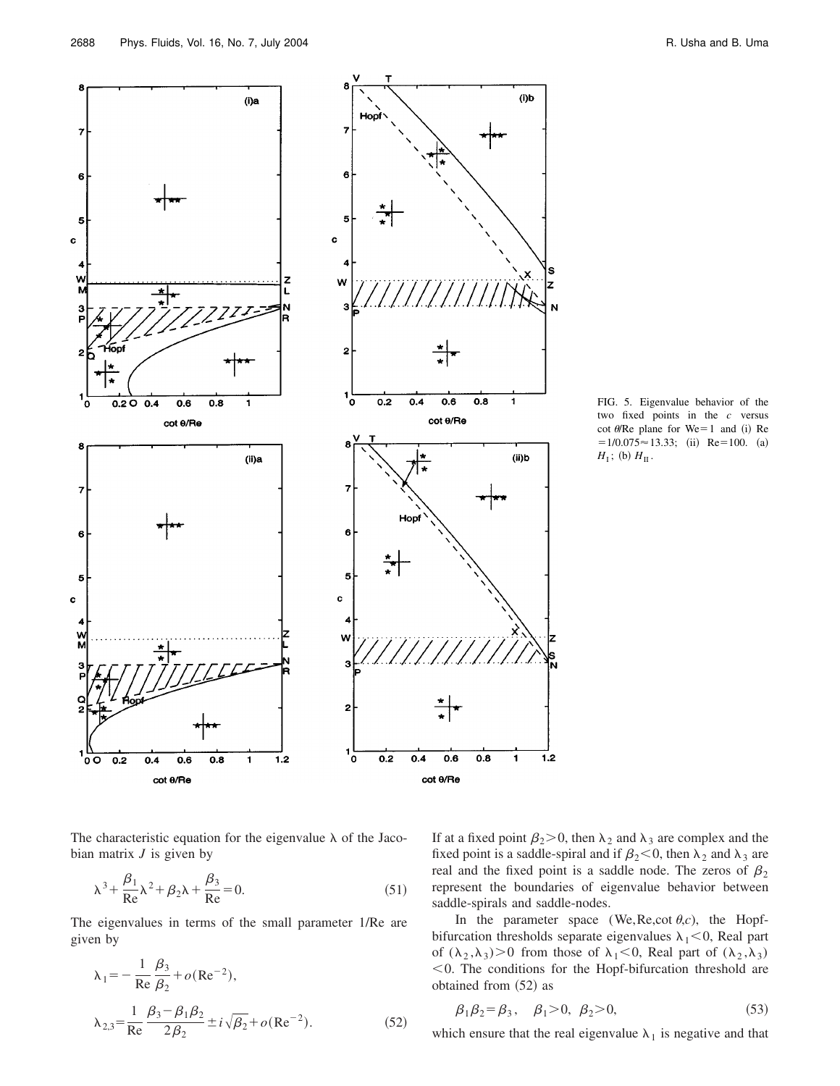

FIG. 5. Eigenvalue behavior of the two fixed points in the *c* versus cot  $\theta$ /Re plane for We=1 and (i) Re  $=1/0.075 \approx 13.33;$  (ii) Re=100. (a)  $H_{\text{I}}$ ; (b)  $H_{\text{II}}$ .

The characteristic equation for the eigenvalue  $\lambda$  of the Jacobian matrix *J* is given by

$$
\lambda^3 + \frac{\beta_1}{\text{Re}}\lambda^2 + \beta_2\lambda + \frac{\beta_3}{\text{Re}} = 0.
$$
 (51)

The eigenvalues in terms of the small parameter 1/Re are given by

$$
\lambda_1 = -\frac{1}{\text{Re}} \frac{\beta_3}{\beta_2} + o(\text{Re}^{-2}),
$$
  

$$
\lambda_{2,3} = \frac{1}{\text{Re}} \frac{\beta_3 - \beta_1 \beta_2}{2\beta_2} \pm i \sqrt{\beta_2} + o(\text{Re}^{-2}).
$$
 (52)

If at a fixed point  $\beta_2$  > 0, then  $\lambda_2$  and  $\lambda_3$  are complex and the fixed point is a saddle-spiral and if  $\beta_2$  < 0, then  $\lambda_2$  and  $\lambda_3$  are real and the fixed point is a saddle node. The zeros of  $\beta_2$ represent the boundaries of eigenvalue behavior between saddle-spirals and saddle-nodes.

In the parameter space (We, Re, cot  $\theta$ , *c*), the Hopfbifurcation thresholds separate eigenvalues  $\lambda_1$  < 0, Real part of  $(\lambda_2, \lambda_3)$  > 0 from those of  $\lambda_1$  < 0, Real part of  $(\lambda_2, \lambda_3)$  $\leq$ 0. The conditions for the Hopf-bifurcation threshold are obtained from  $(52)$  as

$$
\beta_1 \beta_2 = \beta_3, \quad \beta_1 > 0, \ \beta_2 > 0,
$$
\n(53)

which ensure that the real eigenvalue  $\lambda_1$  is negative and that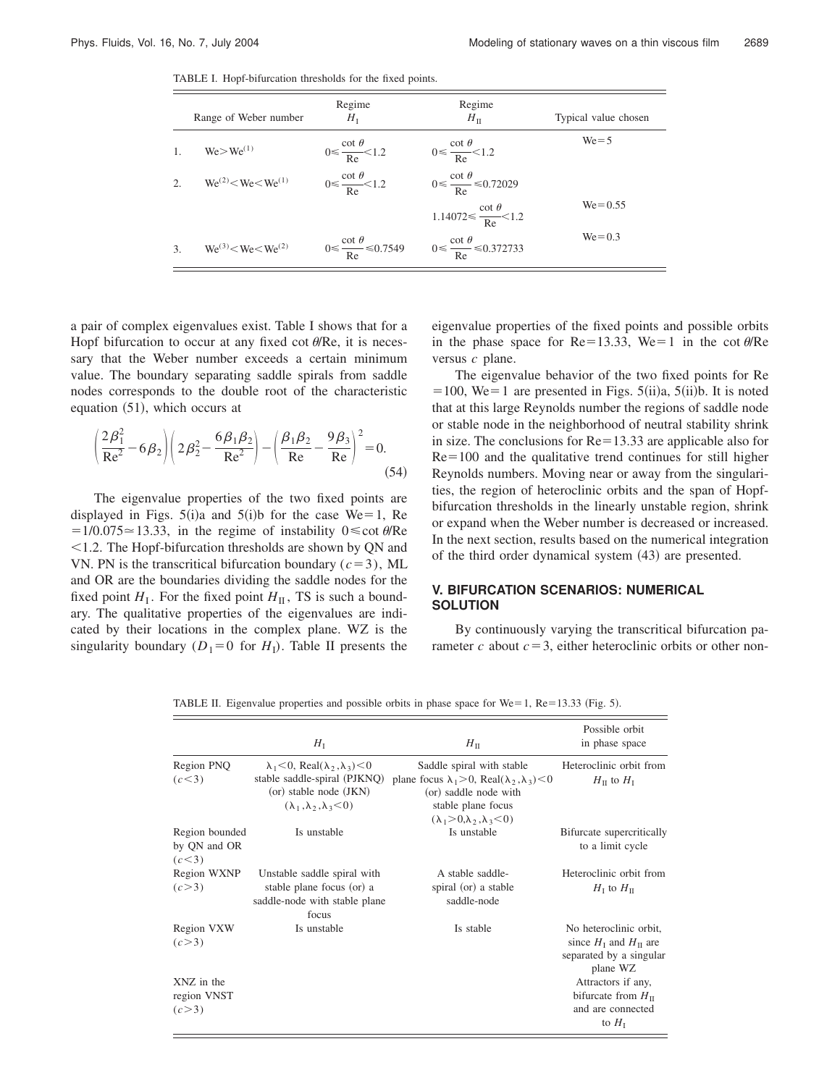TABLE I. Hopf-bifurcation thresholds for the fixed points.

|    | Range of Weber number                      | Regime<br>$H_{\rm I}$                            | Regime<br>$H_{\rm II}$                               | Typical value chosen |
|----|--------------------------------------------|--------------------------------------------------|------------------------------------------------------|----------------------|
| 1. | We > We <sup>(1)</sup>                     | $0 \le \frac{\cot \theta}{\text{Re}} < 1.2$      | $0 \leq \frac{\cot \theta}{\text{Re}} < 1.2$         | $We = 5$             |
| 2. | $\text{We}^{(2)}$ < We < We <sup>(1)</sup> | $0 \leq \frac{\cot \theta}{\text{Re}} < 1.2$     | $0 \leq \frac{\cot \theta}{\text{Re}} \leq 0.72029$  |                      |
|    |                                            |                                                  | $1.14072 \leq \frac{\cot \theta}{\text{Re}} < 1.2$   | $We = 0.55$          |
| 3. | $\text{We}^{(3)}$ < We < We <sup>(2)</sup> | $0 \le \frac{\cot \theta}{\text{Re}} \le 0.7549$ | $0 \leq \frac{\cot \theta}{\text{Re}} \leq 0.372733$ | $We = 0.3$           |

a pair of complex eigenvalues exist. Table I shows that for a Hopf bifurcation to occur at any fixed cot  $\theta$ /Re, it is necessary that the Weber number exceeds a certain minimum value. The boundary separating saddle spirals from saddle nodes corresponds to the double root of the characteristic equation  $(51)$ , which occurs at

$$
\left(\frac{2\beta_1^2}{Re^2} - 6\beta_2\right) \left(2\beta_2^2 - \frac{6\beta_1\beta_2}{Re^2}\right) - \left(\frac{\beta_1\beta_2}{Re} - \frac{9\beta_3}{Re}\right)^2 = 0.
$$
\n(54)

The eigenvalue properties of the two fixed points are displayed in Figs.  $5(i)$ a and  $5(i)$ b for the case We=1, Re  $=1/0.075 \approx 13.33$ , in the regime of instability  $0 \le \cot \theta$ /Re  $<$  1.2. The Hopf-bifurcation thresholds are shown by QN and VN. PN is the transcritical bifurcation boundary  $(c=3)$ , ML and OR are the boundaries dividing the saddle nodes for the fixed point  $H<sub>I</sub>$ . For the fixed point  $H<sub>II</sub>$ , TS is such a boundary. The qualitative properties of the eigenvalues are indicated by their locations in the complex plane. WZ is the singularity boundary  $(D_1=0$  for  $H_1$ ). Table II presents the eigenvalue properties of the fixed points and possible orbits in the phase space for Re=13.33, We=1 in the cot  $\theta$ /Re versus *c* plane.

The eigenvalue behavior of the two fixed points for Re  $=100$ , We=1 are presented in Figs. 5(ii)a, 5(ii)b. It is noted that at this large Reynolds number the regions of saddle node or stable node in the neighborhood of neutral stability shrink in size. The conclusions for  $Re=13.33$  are applicable also for  $Re=100$  and the qualitative trend continues for still higher Reynolds numbers. Moving near or away from the singularities, the region of heteroclinic orbits and the span of Hopfbifurcation thresholds in the linearly unstable region, shrink or expand when the Weber number is decreased or increased. In the next section, results based on the numerical integration of the third order dynamical system  $(43)$  are presented.

# **V. BIFURCATION SCENARIOS: NUMERICAL SOLUTION**

By continuously varying the transcritical bifurcation parameter *c* about  $c=3$ , either heteroclinic orbits or other non-

TABLE II. Eigenvalue properties and possible orbits in phase space for We=1, Re=13.33 (Fig. 5).

|                                           | $H_{\rm I}$                                                                                                                                                    | $H_{\rm II}$                                                                                                                                                                               | Possible orbit<br>in phase space                                                              |
|-------------------------------------------|----------------------------------------------------------------------------------------------------------------------------------------------------------------|--------------------------------------------------------------------------------------------------------------------------------------------------------------------------------------------|-----------------------------------------------------------------------------------------------|
| Region PNQ<br>(c < 3)                     | $\lambda_1$ < 0, Real( $\lambda_2$ , $\lambda_3$ ) < 0<br>stable saddle-spiral (PJKNQ)<br>(or) stable node (JKN)<br>$(\lambda_1, \lambda_2, \lambda_3 \leq 0)$ | Saddle spiral with stable<br>plane focus $\lambda_1 > 0$ , Real $(\lambda_2, \lambda_3) < 0$<br>(or) saddle node with<br>stable plane focus<br>$(\lambda_1 > 0, \lambda_2, \lambda_3 < 0)$ | Heteroclinic orbit from<br>$HII$ to $HI$                                                      |
| Region bounded<br>by QN and OR<br>(c < 3) | Is unstable                                                                                                                                                    | Is unstable                                                                                                                                                                                | Bifurcate supercritically<br>to a limit cycle                                                 |
| Region WXNP<br>(c > 3)                    | Unstable saddle spiral with<br>stable plane focus (or) a<br>saddle-node with stable plane<br>focus                                                             | A stable saddle-<br>spiral (or) a stable<br>saddle-node                                                                                                                                    | Heteroclinic orbit from<br>$HI$ to $HII$                                                      |
| Region VXW<br>(c > 3)                     | Is unstable                                                                                                                                                    | Is stable                                                                                                                                                                                  | No heteroclinic orbit,<br>since $H_1$ and $H_{II}$ are<br>separated by a singular<br>plane WZ |
| XNZ in the<br>region VNST<br>(c > 3)      |                                                                                                                                                                |                                                                                                                                                                                            | Attractors if any,<br>bifurcate from $H_{II}$<br>and are connected<br>to $H_{\rm I}$          |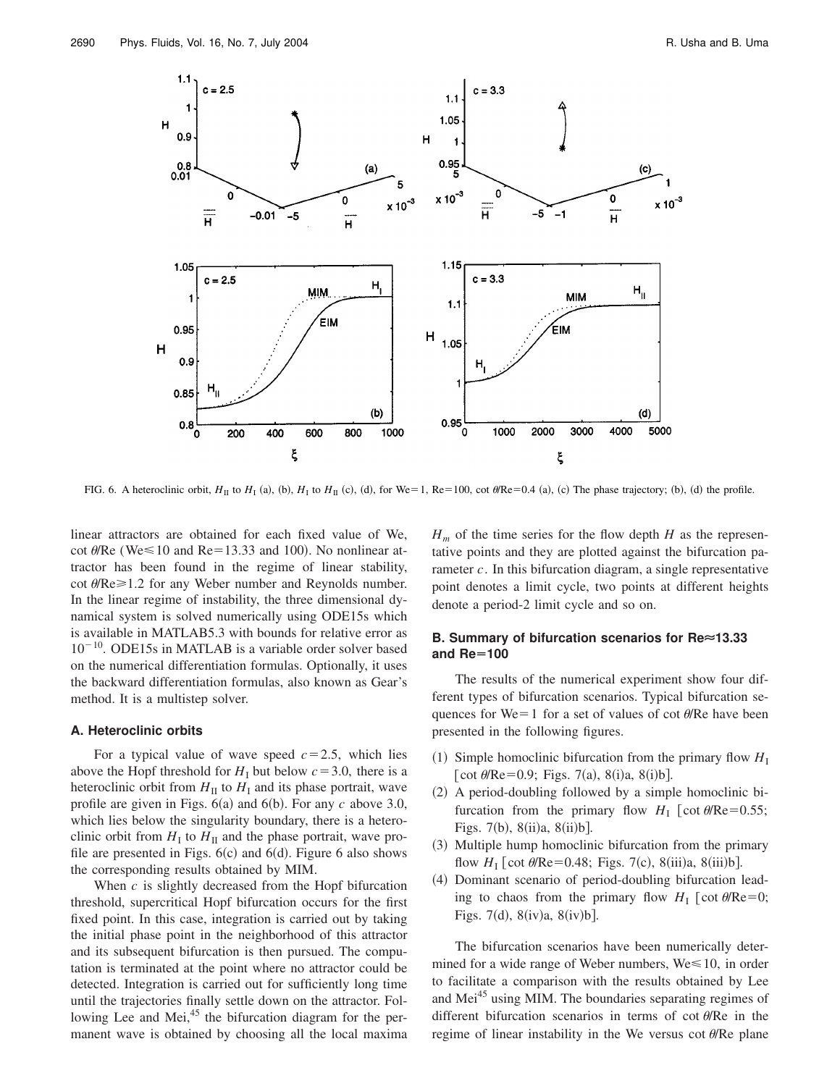

FIG. 6. A heteroclinic orbit,  $H_{II}$  to  $H_I$  (a), (b),  $H_I$  to  $H_{II}$  (c), (d), for We=1, Re=100, cot  $\theta$ /Re=0.4 (a), (c) The phase trajectory; (b), (d) the profile.

linear attractors are obtained for each fixed value of We, cot  $\theta$ /Re (We \times 10 and Re = 13.33 and 100). No nonlinear attractor has been found in the regime of linear stability, cot  $\theta$ /Re $\geq$ 1.2 for any Weber number and Reynolds number. In the linear regime of instability, the three dimensional dynamical system is solved numerically using ODE15s which is available in MATLAB5.3 with bounds for relative error as  $10^{-10}$ . ODE15s in MATLAB is a variable order solver based on the numerical differentiation formulas. Optionally, it uses the backward differentiation formulas, also known as Gear's method. It is a multistep solver.

# **A. Heteroclinic orbits**

For a typical value of wave speed  $c=2.5$ , which lies above the Hopf threshold for  $H<sub>I</sub>$  but below  $c=3.0$ , there is a heteroclinic orbit from  $H<sub>II</sub>$  to  $H<sub>I</sub>$  and its phase portrait, wave profile are given in Figs.  $6(a)$  and  $6(b)$ . For any *c* above 3.0, which lies below the singularity boundary, there is a heteroclinic orbit from  $H_I$  to  $H_{II}$  and the phase portrait, wave profile are presented in Figs.  $6(c)$  and  $6(d)$ . Figure 6 also shows the corresponding results obtained by MIM.

When *c* is slightly decreased from the Hopf bifurcation threshold, supercritical Hopf bifurcation occurs for the first fixed point. In this case, integration is carried out by taking the initial phase point in the neighborhood of this attractor and its subsequent bifurcation is then pursued. The computation is terminated at the point where no attractor could be detected. Integration is carried out for sufficiently long time until the trajectories finally settle down on the attractor. Following Lee and Mei, $45$  the bifurcation diagram for the permanent wave is obtained by choosing all the local maxima  $H_m$  of the time series for the flow depth *H* as the representative points and they are plotted against the bifurcation parameter *c*. In this bifurcation diagram, a single representative point denotes a limit cycle, two points at different heights denote a period-2 limit cycle and so on.

# **B. Summary of bifurcation scenarios for ReÉ13.33 and ReÄ100**

The results of the numerical experiment show four different types of bifurcation scenarios. Typical bifurcation sequences for We=1 for a set of values of cot  $\theta$ /Re have been presented in the following figures.

- $(1)$  Simple homoclinic bifurcation from the primary flow  $H<sub>I</sub>$ [cot  $\theta$ /Re=0.9; Figs. 7(a), 8(i)a, 8(i)b].
- $(2)$  A period-doubling followed by a simple homoclinic bifurcation from the primary flow  $H<sub>I</sub>$  [cot  $\theta$ /Re=0.55; Figs.  $7(b)$ ,  $8(ii)a$ ,  $8(ii)b$ ].
- (3) Multiple hump homoclinic bifurcation from the primary flow  $H_1$  [cot  $\theta$ /Re=0.48; Figs. 7(c), 8(iii)a, 8(iii)b].
- (4) Dominant scenario of period-doubling bifurcation leading to chaos from the primary flow  $H_1$  [cot  $\theta$ /Re=0; Figs. 7(d), 8(iv)a, 8(iv)b.

The bifurcation scenarios have been numerically determined for a wide range of Weber numbers,  $W \in \{10, \text{ in order}$ to facilitate a comparison with the results obtained by Lee and Mei<sup>45</sup> using MIM. The boundaries separating regimes of different bifurcation scenarios in terms of cot  $\theta$ /Re in the regime of linear instability in the We versus cot  $\theta$ /Re plane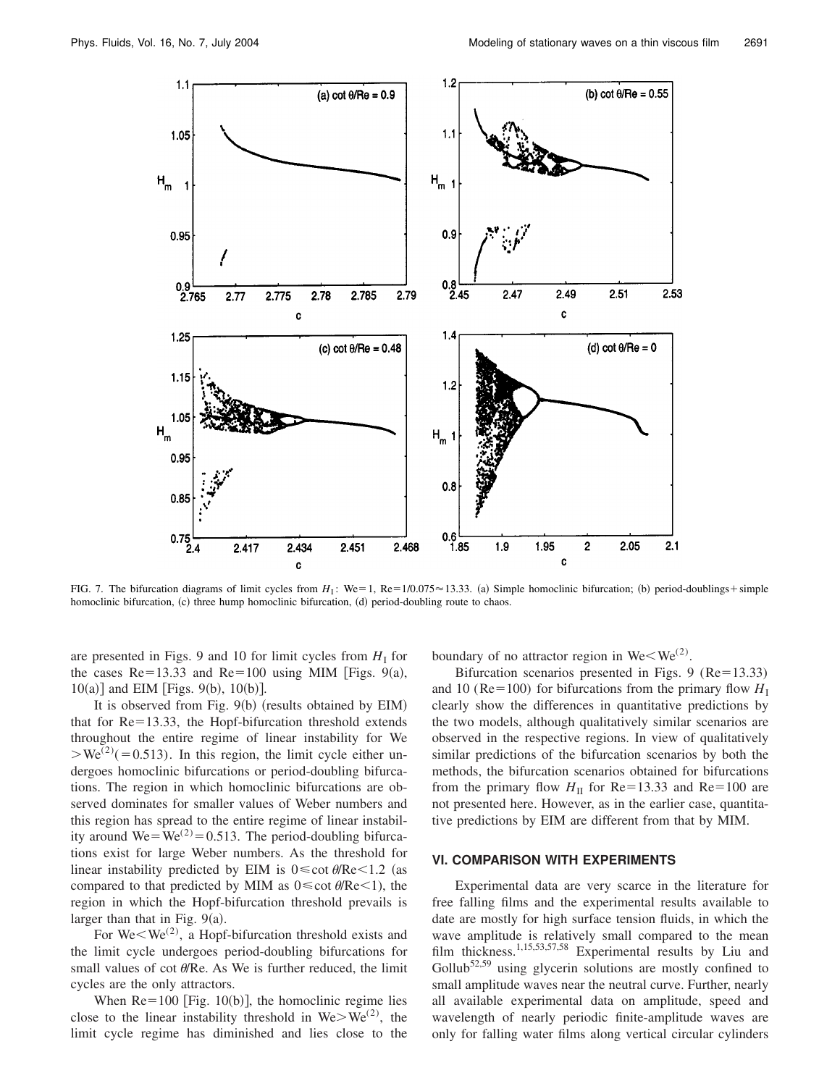

FIG. 7. The bifurcation diagrams of limit cycles from  $H_1$ : We=1, Re=1/0.075 $\approx$ 13.33. (a) Simple homoclinic bifurcation; (b) period-doublings+simple homoclinic bifurcation, (c) three hump homoclinic bifurcation, (d) period-doubling route to chaos.

are presented in Figs. 9 and 10 for limit cycles from  $H<sub>I</sub>$  for the cases  $Re=13.33$  and  $Re=100$  using MIM [Figs. 9(a),  $10(a)$ ] and EIM [Figs. 9(b),  $10(b)$ ].

It is observed from Fig.  $9(b)$  (results obtained by EIM) that for  $Re=13.33$ , the Hopf-bifurcation threshold extends throughout the entire regime of linear instability for We  $We^{(2)}(0.513)$ . In this region, the limit cycle either undergoes homoclinic bifurcations or period-doubling bifurcations. The region in which homoclinic bifurcations are observed dominates for smaller values of Weber numbers and this region has spread to the entire regime of linear instability around  $We = We^{(2)} = 0.513$ . The period-doubling bifurcations exist for large Weber numbers. As the threshold for linear instability predicted by EIM is  $0 \le \cot \theta / \text{Re} < 1.2$  (as compared to that predicted by MIM as  $0 \le \cot \theta / \text{Re} \lt 1$ , the region in which the Hopf-bifurcation threshold prevails is larger than that in Fig.  $9(a)$ .

For  $We < We<sup>(2)</sup>$ , a Hopf-bifurcation threshold exists and the limit cycle undergoes period-doubling bifurcations for small values of cot  $\theta$ /Re. As We is further reduced, the limit cycles are the only attractors.

When  $Re=100$  [Fig. 10(b)], the homoclinic regime lies close to the linear instability threshold in  $We > We^{(2)}$ , the limit cycle regime has diminished and lies close to the boundary of no attractor region in  $We < We<sup>(2)</sup>$ .

Bifurcation scenarios presented in Figs. 9 ( $Re=13.33$ ) and 10 (Re=100) for bifurcations from the primary flow  $H<sub>I</sub>$ clearly show the differences in quantitative predictions by the two models, although qualitatively similar scenarios are observed in the respective regions. In view of qualitatively similar predictions of the bifurcation scenarios by both the methods, the bifurcation scenarios obtained for bifurcations from the primary flow  $H<sub>II</sub>$  for Re=13.33 and Re=100 are not presented here. However, as in the earlier case, quantitative predictions by EIM are different from that by MIM.

## **VI. COMPARISON WITH EXPERIMENTS**

Experimental data are very scarce in the literature for free falling films and the experimental results available to date are mostly for high surface tension fluids, in which the wave amplitude is relatively small compared to the mean film thickness.<sup>1,15,53,57,58</sup> Experimental results by Liu and Gollub<sup>52,59</sup> using glycerin solutions are mostly confined to small amplitude waves near the neutral curve. Further, nearly all available experimental data on amplitude, speed and wavelength of nearly periodic finite-amplitude waves are only for falling water films along vertical circular cylinders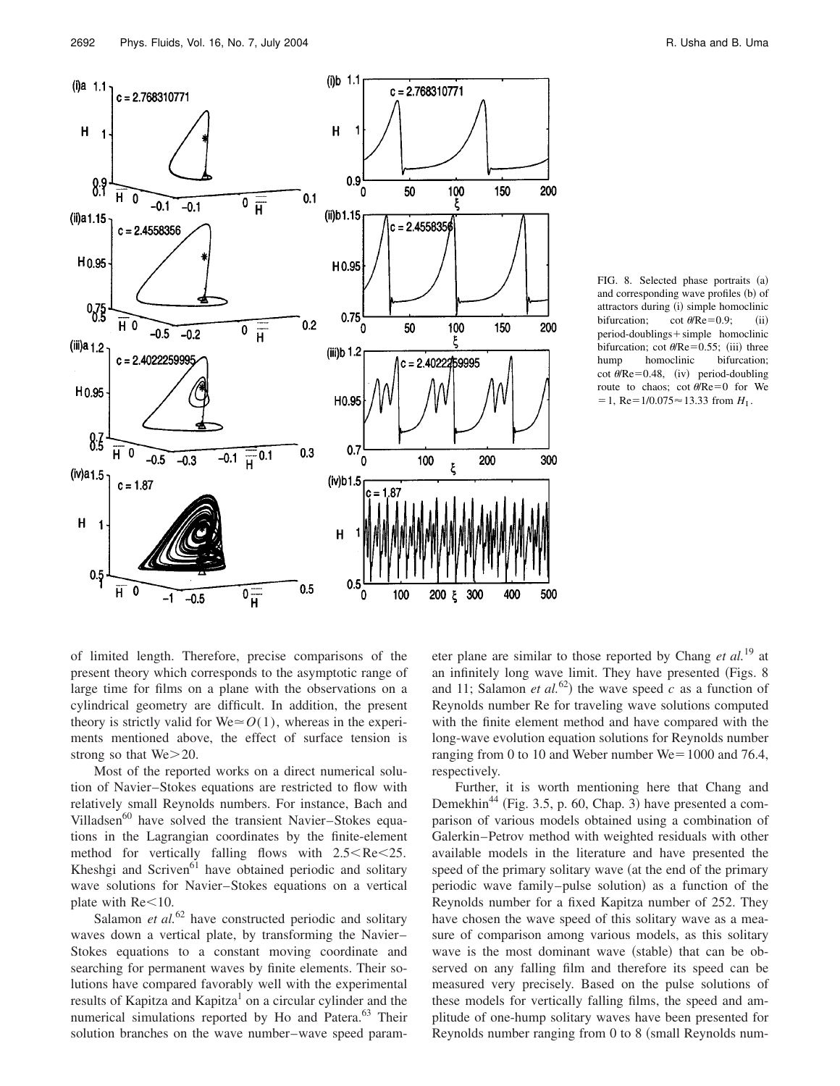

FIG. 8. Selected phase portraits (a) and corresponding wave profiles (b) of attractors during (i) simple homoclinic bifurcation; cot  $\theta$ /Re=0.9; (ii) period-doublings+simple homoclinic bifurcation; cot  $\theta$ /Re=0.55; (iii) three hump homoclinic bifurcation; cot  $\theta$ /Re=0.48, (iv) period-doubling route to chaos; cot  $\theta$ /Re=0 for We  $=$  1, Re=1/0.075 $\approx$  13.33 from  $H<sub>I</sub>$ .

of limited length. Therefore, precise comparisons of the present theory which corresponds to the asymptotic range of large time for films on a plane with the observations on a cylindrical geometry are difficult. In addition, the present theory is strictly valid for  $We \approx O(1)$ , whereas in the experiments mentioned above, the effect of surface tension is strong so that  $We > 20$ .

Most of the reported works on a direct numerical solution of Navier–Stokes equations are restricted to flow with relatively small Reynolds numbers. For instance, Bach and Villadsen<sup>60</sup> have solved the transient Navier–Stokes equations in the Lagrangian coordinates by the finite-element method for vertically falling flows with  $2.5 < Re < 25$ . Kheshgi and Scriven<sup>61</sup> have obtained periodic and solitary wave solutions for Navier–Stokes equations on a vertical plate with  $Re<10$ .

Salamon *et al.*<sup>62</sup> have constructed periodic and solitary waves down a vertical plate, by transforming the Navier– Stokes equations to a constant moving coordinate and searching for permanent waves by finite elements. Their solutions have compared favorably well with the experimental results of Kapitza and Kapitza<sup>1</sup> on a circular cylinder and the numerical simulations reported by Ho and Patera.<sup>63</sup> Their solution branches on the wave number–wave speed parameter plane are similar to those reported by Chang *et al.*<sup>19</sup> at an infinitely long wave limit. They have presented  $(Figs. 8)$ and 11; Salamon *et al.*<sup>62</sup>) the wave speed *c* as a function of Reynolds number Re for traveling wave solutions computed with the finite element method and have compared with the long-wave evolution equation solutions for Reynolds number ranging from 0 to 10 and Weber number  $We = 1000$  and 76.4, respectively.

Further, it is worth mentioning here that Chang and Demekhin<sup>44</sup> (Fig. 3.5, p. 60, Chap. 3) have presented a comparison of various models obtained using a combination of Galerkin–Petrov method with weighted residuals with other available models in the literature and have presented the speed of the primary solitary wave (at the end of the primary periodic wave family–pulse solution) as a function of the Reynolds number for a fixed Kapitza number of 252. They have chosen the wave speed of this solitary wave as a measure of comparison among various models, as this solitary wave is the most dominant wave (stable) that can be observed on any falling film and therefore its speed can be measured very precisely. Based on the pulse solutions of these models for vertically falling films, the speed and amplitude of one-hump solitary waves have been presented for Reynolds number ranging from  $0$  to  $8$  (small Reynolds num-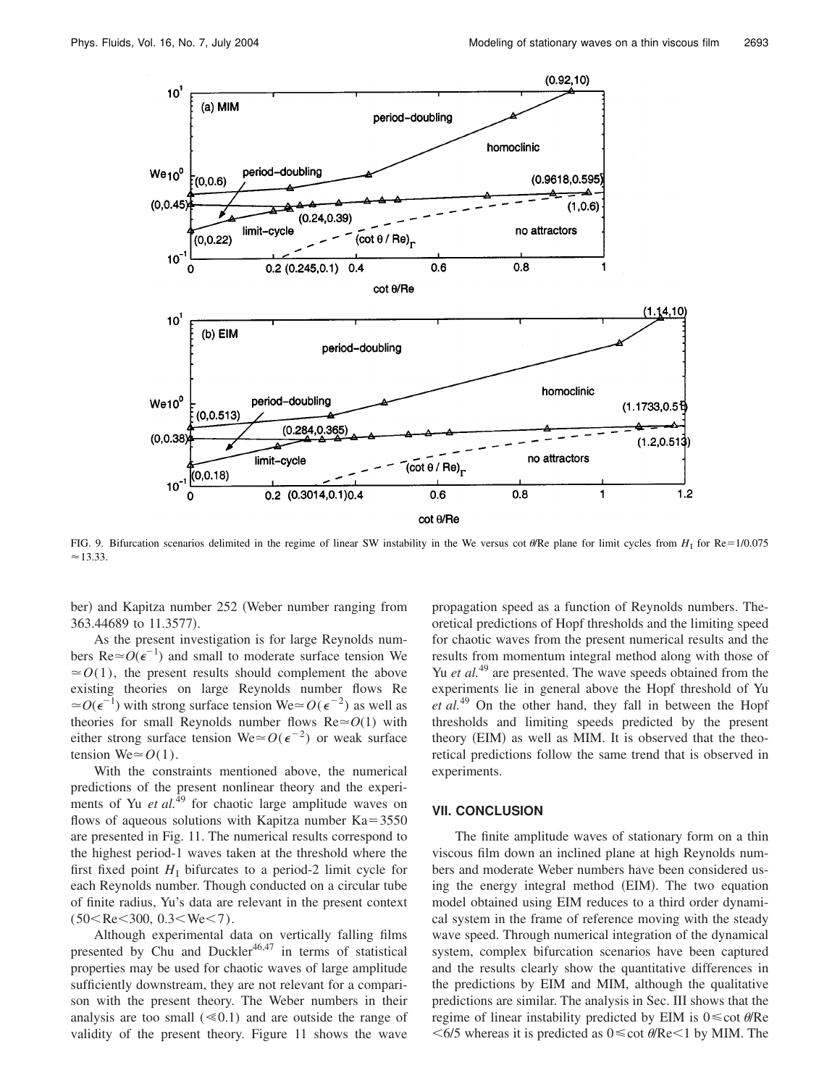

FIG. 9. Bifurcation scenarios delimited in the regime of linear SW instability in the We versus cot  $\theta$ /Re plane for limit cycles from  $H_1$  for Re=1/0.075  $\approx$  13.33.

ber) and Kapitza number 252 (Weber number ranging from 363.44689 to 11.3577).

As the present investigation is for large Reynolds numbers  $\text{Re} \approx O(\epsilon^{-1})$  and small to moderate surface tension We  $\approx$  *O*(1), the present results should complement the above existing theories on large Reynolds number flows Re  $\approx O(\epsilon^{-1})$  with strong surface tension We $\approx O(\epsilon^{-2})$  as well as theories for small Reynolds number flows  $\text{Re} \approx O(1)$  with either strong surface tension We $\approx O(\epsilon^{-2})$  or weak surface tension  $We \approx O(1)$ .

With the constraints mentioned above, the numerical predictions of the present nonlinear theory and the experiments of Yu *et al.*<sup>49</sup> for chaotic large amplitude waves on flows of aqueous solutions with Kapitza number  $Ka = 3550$ are presented in Fig. 11. The numerical results correspond to the highest period-1 waves taken at the threshold where the first fixed point  $H<sub>I</sub>$  bifurcates to a period-2 limit cycle for each Reynolds number. Though conducted on a circular tube of finite radius, Yu's data are relevant in the present context  $(50<\text{Re}\leq300, 0.3<\text{We}\leq7)$ .

Although experimental data on vertically falling films presented by Chu and Duckler<sup>46,47</sup> in terms of statistical properties may be used for chaotic waves of large amplitude sufficiently downstream, they are not relevant for a comparison with the present theory. The Weber numbers in their analysis are too small  $(\leq 0.1)$  and are outside the range of validity of the present theory. Figure 11 shows the wave propagation speed as a function of Reynolds numbers. Theoretical predictions of Hopf thresholds and the limiting speed for chaotic waves from the present numerical results and the results from momentum integral method along with those of Yu *et al.*<sup>49</sup> are presented. The wave speeds obtained from the experiments lie in general above the Hopf threshold of Yu *et al.*<sup>49</sup> On the other hand, they fall in between the Hopf thresholds and limiting speeds predicted by the present theory (EIM) as well as MIM. It is observed that the theoretical predictions follow the same trend that is observed in experiments.

## **VII. CONCLUSION**

The finite amplitude waves of stationary form on a thin viscous film down an inclined plane at high Reynolds numbers and moderate Weber numbers have been considered using the energy integral method (EIM). The two equation model obtained using EIM reduces to a third order dynamical system in the frame of reference moving with the steady wave speed. Through numerical integration of the dynamical system, complex bifurcation scenarios have been captured and the results clearly show the quantitative differences in the predictions by EIM and MIM, although the qualitative predictions are similar. The analysis in Sec. III shows that the regime of linear instability predicted by EIM is  $0 \le \cot \theta / \text{Re}$  $<6/5$  whereas it is predicted as  $0 \le \cot \theta$ /Re $<1$  by MIM. The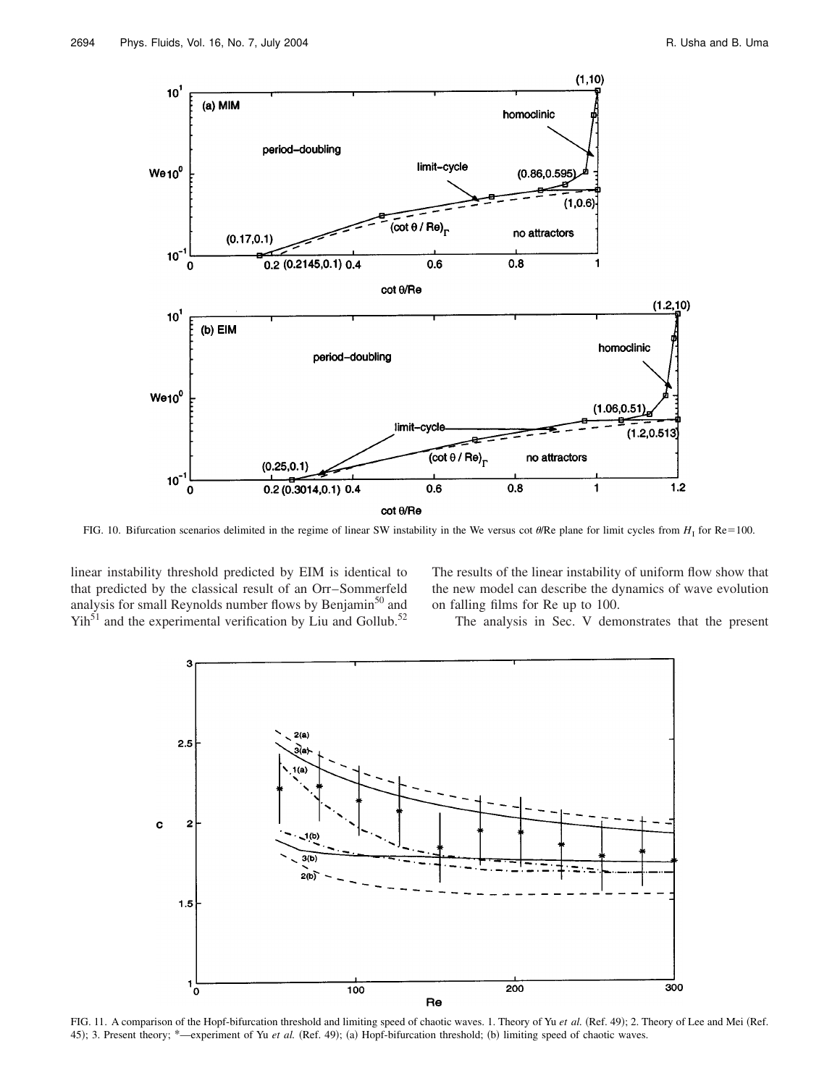

FIG. 10. Bifurcation scenarios delimited in the regime of linear SW instability in the We versus cot  $\theta$ /Re plane for limit cycles from  $H_1$  for Re=100.

linear instability threshold predicted by EIM is identical to that predicted by the classical result of an Orr–Sommerfeld analysis for small Reynolds number flows by Benjamin<sup>50</sup> and  $Yih<sup>51</sup>$  and the experimental verification by Liu and Gollub.<sup>52</sup> The results of the linear instability of uniform flow show that the new model can describe the dynamics of wave evolution on falling films for Re up to 100.

The analysis in Sec. V demonstrates that the present



FIG. 11. A comparison of the Hopf-bifurcation threshold and limiting speed of chaotic waves. 1. Theory of Yu et al. (Ref. 49); 2. Theory of Lee and Mei (Ref. 45); 3. Present theory; \*- experiment of Yu *et al.* (Ref. 49); (a) Hopf-bifurcation threshold; (b) limiting speed of chaotic waves.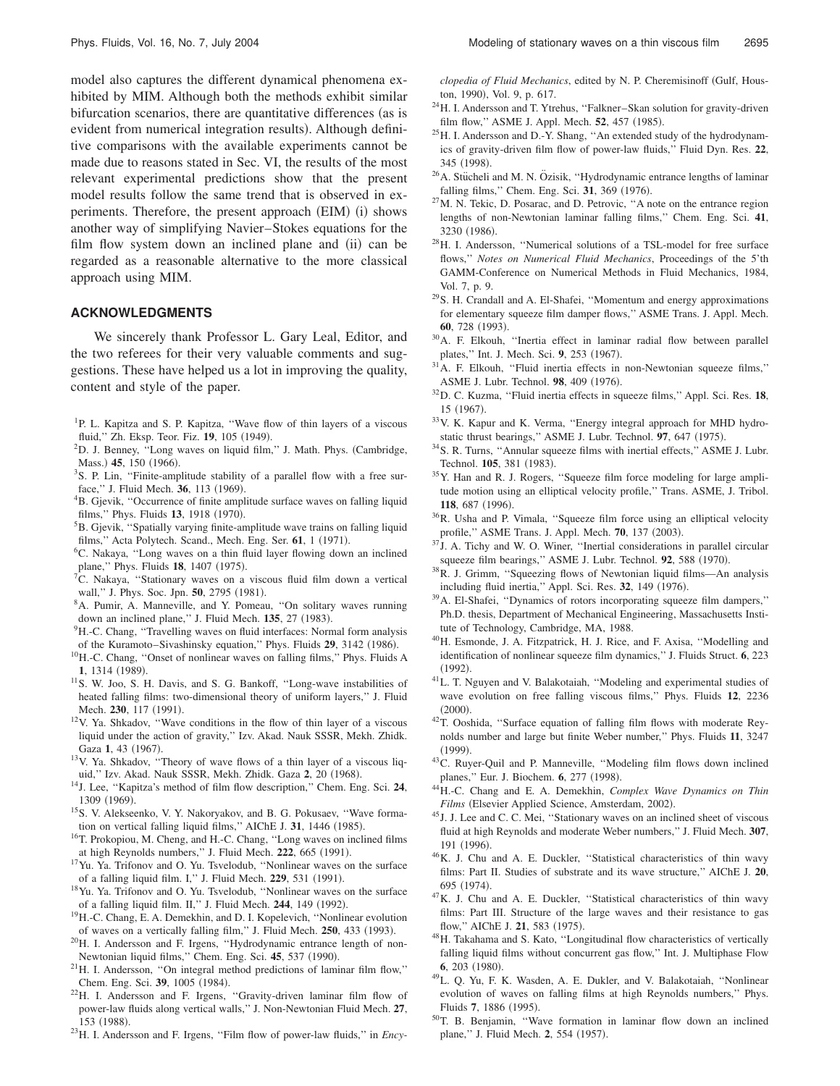model also captures the different dynamical phenomena exhibited by MIM. Although both the methods exhibit similar bifurcation scenarios, there are quantitative differences (as is evident from numerical integration results). Although definitive comparisons with the available experiments cannot be made due to reasons stated in Sec. VI, the results of the most relevant experimental predictions show that the present model results follow the same trend that is observed in experiments. Therefore, the present approach (EIM) (i) shows another way of simplifying Navier–Stokes equations for the film flow system down an inclined plane and (ii) can be regarded as a reasonable alternative to the more classical approach using MIM.

#### **ACKNOWLEDGMENTS**

We sincerely thank Professor L. Gary Leal, Editor, and the two referees for their very valuable comments and suggestions. These have helped us a lot in improving the quality, content and style of the paper.

- <sup>1</sup>P. L. Kapitza and S. P. Kapitza, "Wave flow of thin layers of a viscous fluid," Zh. Eksp. Teor. Fiz. 19, 105 (1949).
- ${}^{2}$ D. J. Benney, "Long waves on liquid film," J. Math. Phys. (Cambridge, Mass.) 45, 150 (1966).
- <sup>3</sup>S. P. Lin, "Finite-amplitude stability of a parallel flow with a free surface," J. Fluid Mech. 36, 113 (1969).
- <sup>4</sup>B. Gjevik, "Occurrence of finite amplitude surface waves on falling liquid films," Phys. Fluids 13, 1918 (1970).
- <sup>5</sup>B. Gjevik, ''Spatially varying finite-amplitude wave trains on falling liquid films," Acta Polytech. Scand., Mech. Eng. Ser. 61, 1 (1971).
- <sup>6</sup>C. Nakaya, "Long waves on a thin fluid layer flowing down an inclined plane," Phys. Fluids 18, 1407 (1975).
- ${}^{7}C$ . Nakaya, "Stationary waves on a viscous fluid film down a vertical wall," J. Phys. Soc. Jpn. 50, 2795 (1981).
- <sup>8</sup>A. Pumir, A. Manneville, and Y. Pomeau, ''On solitary waves running down an inclined plane," J. Fluid Mech. **135**, 27 (1983).
- <sup>9</sup>H.-C. Chang, "Travelling waves on fluid interfaces: Normal form analysis of the Kuramoto–Sivashinsky equation," Phys. Fluids 29, 3142 (1986).
- <sup>10</sup>H.-C. Chang, "Onset of nonlinear waves on falling films," Phys. Fluids A **1**, 1314 (1989).
- <sup>11</sup>S. W. Joo, S. H. Davis, and S. G. Bankoff, "Long-wave instabilities of heated falling films: two-dimensional theory of uniform layers,'' J. Fluid Mech. 230, 117 (1991).
- <sup>12</sup>V. Ya. Shkadov, ''Wave conditions in the flow of thin layer of a viscous liquid under the action of gravity,'' Izv. Akad. Nauk SSSR, Mekh. Zhidk. Gaza 1, 43 (1967).
- <sup>13</sup>V. Ya. Shkadov, ''Theory of wave flows of a thin layer of a viscous liquid," Izv. Akad. Nauk SSSR, Mekh. Zhidk. Gaza 2, 20 (1968).
- <sup>14</sup>J. Lee, ''Kapitza's method of film flow description,'' Chem. Eng. Sci. **24**, 1309 (1969).
- <sup>15</sup>S. V. Alekseenko, V. Y. Nakoryakov, and B. G. Pokusaev, ''Wave formation on vertical falling liquid films," AIChE J. 31, 1446 (1985).
- <sup>16</sup>T. Prokopiou, M. Cheng, and H.-C. Chang, ''Long waves on inclined films at high Reynolds numbers," J. Fluid Mech. 222, 665 (1991).
- <sup>17</sup>Yu. Ya. Trifonov and O. Yu. Tsvelodub, "Nonlinear waves on the surface of a falling liquid film. I," J. Fluid Mech. **229**, 531 (1991).
- <sup>18</sup>Yu. Ya. Trifonov and O. Yu. Tsvelodub, ''Nonlinear waves on the surface of a falling liquid film. II," J. Fluid Mech. 244, 149 (1992).
- <sup>19</sup>H.-C. Chang, E. A. Demekhin, and D. I. Kopelevich, ''Nonlinear evolution of waves on a vertically falling film," J. Fluid Mech. **250**, 433 (1993).
- <sup>20</sup>H. I. Andersson and F. Irgens, ''Hydrodynamic entrance length of non-Newtonian liquid films," Chem. Eng. Sci. 45, 537 (1990).
- $21$ H. I. Andersson, "On integral method predictions of laminar film flow," Chem. Eng. Sci. 39, 1005 (1984).
- <sup>22</sup>H. I. Andersson and F. Irgens, ''Gravity-driven laminar film flow of power-law fluids along vertical walls,'' J. Non-Newtonian Fluid Mech. **27**, 153 (1988).
- <sup>23</sup>H. I. Andersson and F. Irgens, "Film flow of power-law fluids," in *Ency*-

*clopedia of Fluid Mechanics*, edited by N. P. Cheremisinoff (Gulf, Houston, 1990), Vol. 9, p. 617.

- <sup>24</sup>H. I. Andersson and T. Ytrehus, ''Falkner–Skan solution for gravity-driven film flow," ASME J. Appl. Mech. 52, 457 (1985).
- <sup>25</sup>H. I. Andersson and D.-Y. Shang, "An extended study of the hydrodynamics of gravity-driven film flow of power-law fluids,'' Fluid Dyn. Res. **22**, 345 (1998).
- $^{26}$ A. Stücheli and M. N. Özisik, "Hydrodynamic entrance lengths of laminar falling films," Chem. Eng. Sci. 31, 369 (1976).
- $27$ M. N. Tekic, D. Posarac, and D. Petrovic, "A note on the entrance region lengths of non-Newtonian laminar falling films,'' Chem. Eng. Sci. **41**, 3230 (1986).
- <sup>28</sup>H. I. Andersson, ''Numerical solutions of a TSL-model for free surface flows,'' *Notes on Numerical Fluid Mechanics*, Proceedings of the 5'th GAMM-Conference on Numerical Methods in Fluid Mechanics, 1984, Vol. 7, p. 9.
- <sup>29</sup>S. H. Crandall and A. El-Shafei, ''Momentum and energy approximations for elementary squeeze film damper flows,'' ASME Trans. J. Appl. Mech. **60**, 728 (1993).
- <sup>30</sup>A. F. Elkouh, ''Inertia effect in laminar radial flow between parallel plates," Int. J. Mech. Sci. 9, 253 (1967).
- <sup>31</sup>A. F. Elkouh, ''Fluid inertia effects in non-Newtonian squeeze films,'' ASME J. Lubr. Technol. 98, 409 (1976).
- <sup>32</sup>D. C. Kuzma, ''Fluid inertia effects in squeeze films,'' Appl. Sci. Res. **18**,  $15$   $(1967)$ .
- <sup>33</sup>V. K. Kapur and K. Verma, ''Energy integral approach for MHD hydrostatic thrust bearings," ASME J. Lubr. Technol. 97, 647 (1975).
- <sup>34</sup>S. R. Turns, "Annular squeeze films with inertial effects," ASME J. Lubr. Technol. **105**, 381 (1983).
- <sup>35</sup>Y. Han and R. J. Rogers, ''Squeeze film force modeling for large amplitude motion using an elliptical velocity profile,'' Trans. ASME, J. Tribol. **118**, 687 (1996).
- <sup>36</sup>R. Usha and P. Vimala, ''Squeeze film force using an elliptical velocity profile," ASME Trans. J. Appl. Mech. **70**, 137 (2003).
- $37\text{ J}$ . A. Tichy and W. O. Winer, "Inertial considerations in parallel circular squeeze film bearings," ASME J. Lubr. Technol. **92**, 588 (1970).
- <sup>38</sup>R. J. Grimm, ''Squeezing flows of Newtonian liquid films—An analysis including fluid inertia," Appl. Sci. Res. 32, 149 (1976).
- <sup>39</sup>A. El-Shafei, ''Dynamics of rotors incorporating squeeze film dampers,'' Ph.D. thesis, Department of Mechanical Engineering, Massachusetts Institute of Technology, Cambridge, MA, 1988.
- <sup>40</sup>H. Esmonde, J. A. Fitzpatrick, H. J. Rice, and F. Axisa, ''Modelling and identification of nonlinear squeeze film dynamics,'' J. Fluids Struct. **6**, 223  $(1992).$
- <sup>41</sup>L. T. Nguyen and V. Balakotaiah, ''Modeling and experimental studies of wave evolution on free falling viscous films,'' Phys. Fluids **12**, 2236  $(2000).$
- <sup>42</sup>T. Ooshida, ''Surface equation of falling film flows with moderate Reynolds number and large but finite Weber number,'' Phys. Fluids **11**, 3247  $(1999).$
- <sup>43</sup>C. Ruyer-Quil and P. Manneville, ''Modeling film flows down inclined planes," Eur. J. Biochem. 6, 277 (1998).
- <sup>44</sup>H.-C. Chang and E. A. Demekhin, *Complex Wave Dynamics on Thin*  $Films$  (Elsevier Applied Science, Amsterdam, 2002).
- <sup>45</sup>J. J. Lee and C. C. Mei, ''Stationary waves on an inclined sheet of viscous fluid at high Reynolds and moderate Weber numbers,'' J. Fluid Mech. **307**, 191 (1996).
- <sup>46</sup>K. J. Chu and A. E. Duckler, ''Statistical characteristics of thin wavy films: Part II. Studies of substrate and its wave structure,'' AIChE J. **20**, 695 (1974).
- <sup>47</sup>K. J. Chu and A. E. Duckler, ''Statistical characteristics of thin wavy films: Part III. Structure of the large waves and their resistance to gas flow," AIChE J. 21, 583 (1975).
- <sup>48</sup>H. Takahama and S. Kato, ''Longitudinal flow characteristics of vertically falling liquid films without concurrent gas flow,'' Int. J. Multiphase Flow **6**, 203 (1980).
- <sup>49</sup>L. Q. Yu, F. K. Wasden, A. E. Dukler, and V. Balakotaiah, ''Nonlinear evolution of waves on falling films at high Reynolds numbers,'' Phys. Fluids 7, 1886 (1995).
- <sup>50</sup>T. B. Benjamin, ''Wave formation in laminar flow down an inclined plane," J. Fluid Mech. 2, 554 (1957).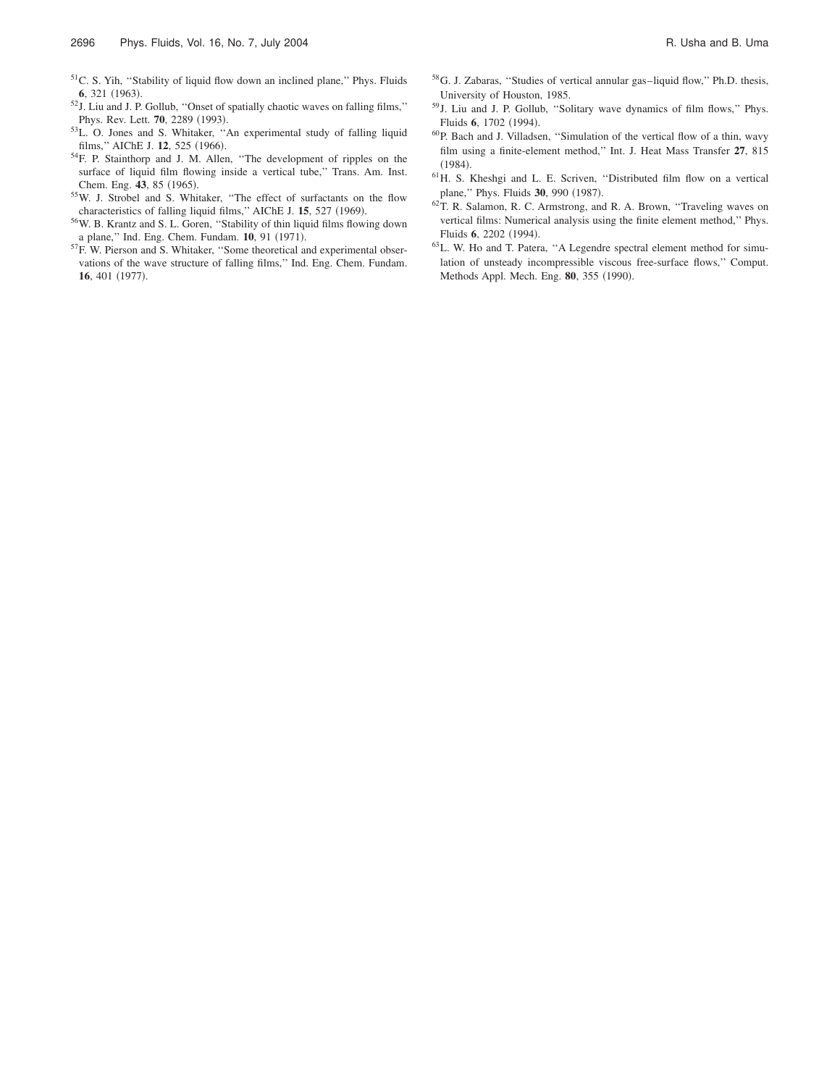- <sup>51</sup>C. S. Yih, ''Stability of liquid flow down an inclined plane,'' Phys. Fluids **6**, 321 (1963).
- <sup>52</sup>J. Liu and J. P. Gollub, ''Onset of spatially chaotic waves on falling films,'' Phys. Rev. Lett. **70**, 2289 (1993).
- <sup>53</sup>L. O. Jones and S. Whitaker, ''An experimental study of falling liquid films," AIChE J. 12, 525 (1966).
- <sup>54</sup>F. P. Stainthorp and J. M. Allen, ''The development of ripples on the surface of liquid film flowing inside a vertical tube,'' Trans. Am. Inst. Chem. Eng. 43, 85 (1965).
- <sup>55</sup>W. J. Strobel and S. Whitaker, ''The effect of surfactants on the flow characteristics of falling liquid films," AIChE J. 15, 527 (1969).
- <sup>56</sup>W. B. Krantz and S. L. Goren, ''Stability of thin liquid films flowing down a plane," Ind. Eng. Chem. Fundam. **10**, 91 (1971).
- $57$ F. W. Pierson and S. Whitaker, "Some theoretical and experimental observations of the wave structure of falling films,'' Ind. Eng. Chem. Fundam. 16, 401 (1977).
- <sup>58</sup>G. J. Zabaras, ''Studies of vertical annular gas–liquid flow,'' Ph.D. thesis, University of Houston, 1985.
- <sup>59</sup>J. Liu and J. P. Gollub, ''Solitary wave dynamics of film flows,'' Phys. Fluids 6, 1702 (1994).
- <sup>60</sup>P. Bach and J. Villadsen, ''Simulation of the vertical flow of a thin, wavy film using a finite-element method,'' Int. J. Heat Mass Transfer **27**, 815  $(1984).$
- <sup>61</sup>H. S. Kheshgi and L. E. Scriven, ''Distributed film flow on a vertical plane," Phys. Fluids 30, 990 (1987).
- $62$ T. R. Salamon, R. C. Armstrong, and R. A. Brown, "Traveling waves on vertical films: Numerical analysis using the finite element method,'' Phys. Fluids 6, 2202 (1994).
- <sup>63</sup>L. W. Ho and T. Patera, ''A Legendre spectral element method for simulation of unsteady incompressible viscous free-surface flows,'' Comput. Methods Appl. Mech. Eng. 80, 355 (1990).